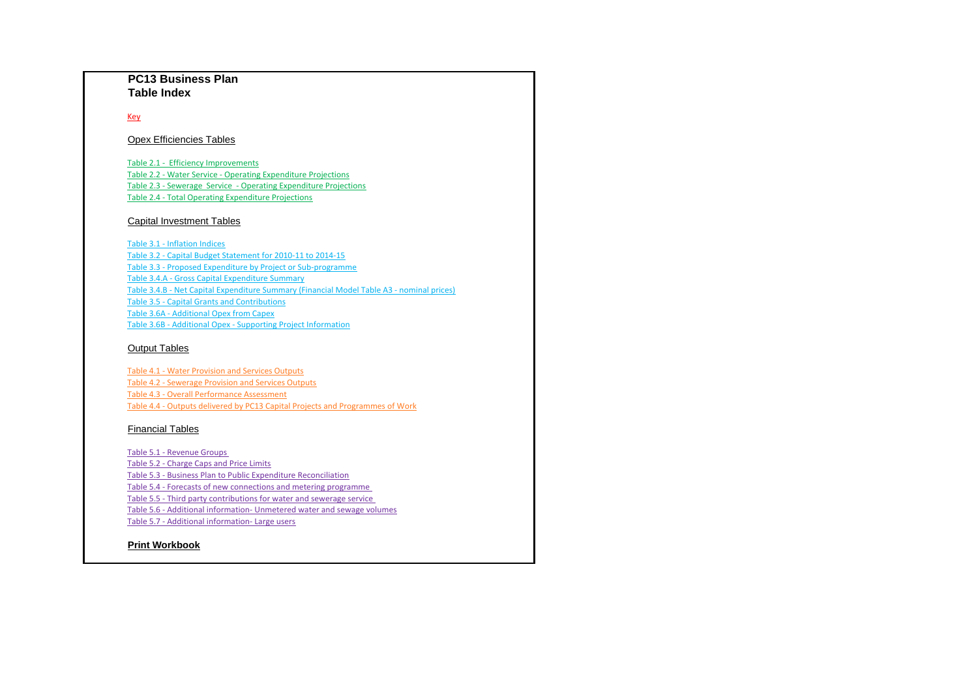Key

#### **Print Workbook**

#### Capital Investment Tables

#### Opex Efficiencies Tables

#### Financial Tables

Table 5.5 - Third party contributions for water and sewerage service

Table 5.6 - Additional information- Unmetered water and sewage volumes

Table 5.7 - Additional information- Large users

Table 4.1 - Water Provision and Services Outputs Table 4.2 - Sewerage Provision and Services Outputs Table 4.3 - Overall Performance Assessment Table 4.4 - Outputs delivered by PC13 Capital Projects and Programmes of Work

#### **PC13 Business Plan Table Index**

Table 2.1 - Efficiency Improvements Table 2.2 - Water Service - Operating Expenditure Projections Table 2.3 - Sewerage Service - Operating Expenditure Projections Table 2.4 - Total Operating Expenditure Projections

Table 3.2 - Capital Budget Statement for 2010-11 to 2014-15 Table 3.3 - Proposed Expenditure by Project or Sub-programme Table 3.1 - Inflation Indices Table 3.4.A - Gross Capital Expenditure Summary Table 3.4.B - Net Capital Expenditure Summary (Financial Model Table A3 - nominal prices) Table 3.5 - Capital Grants and Contributions Table 3.6A - Additional Opex from Capex Table 3.6B - Additional Opex - Supporting Project Information

#### **Output Tables**

Table 5.2 - Charge Caps and Price Limits

Table 5.3 - Business Plan to Public Expenditure Reconciliation

Table 5.4 - Forecasts of new connections and metering programme

Table 5.1 - Revenue Groups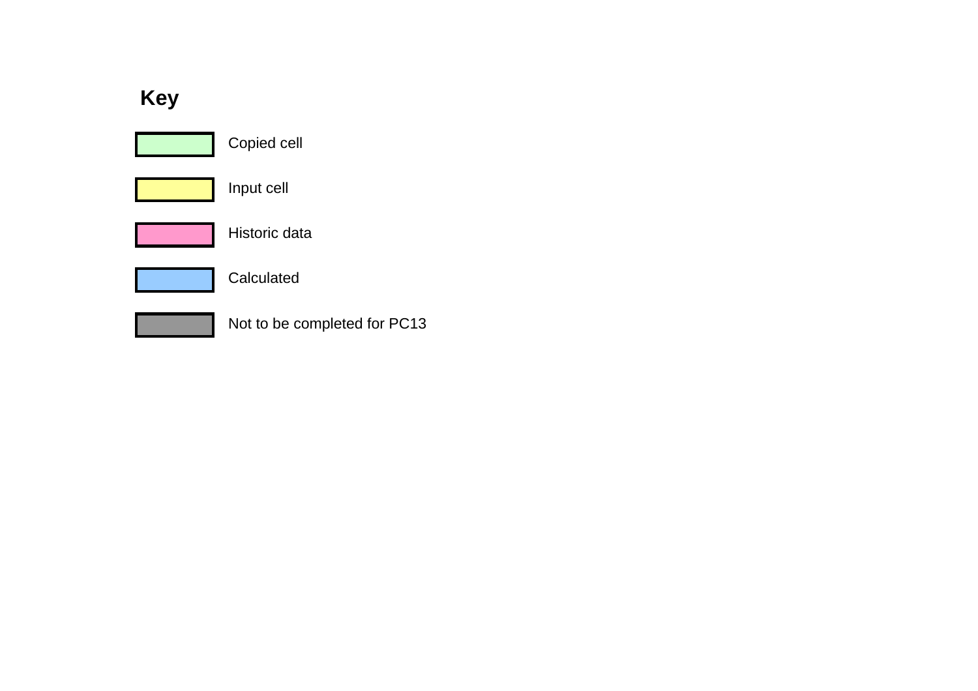## **Key**

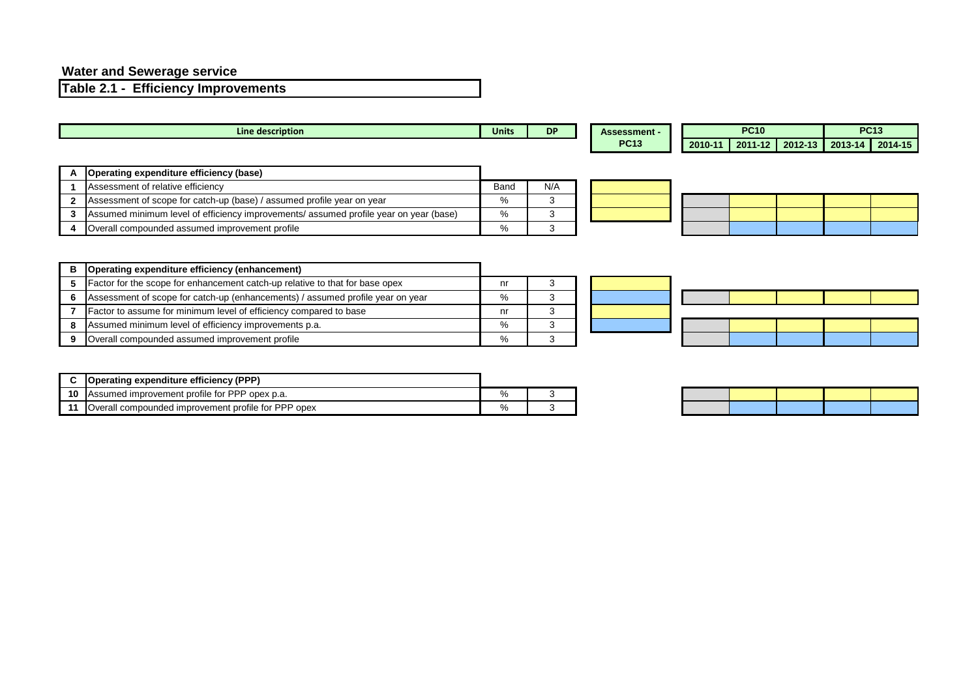#### **Water and Sewerage service**

**Table 2.1 - Efficiency Improvements**

|              | Line description                                                                      | <b>Units</b> | <b>DP</b> | <b>Assessment -</b> |         | <b>PC10</b> |         | <b>PC13</b>               |  |
|--------------|---------------------------------------------------------------------------------------|--------------|-----------|---------------------|---------|-------------|---------|---------------------------|--|
|              |                                                                                       |              |           | <b>PC13</b>         | 2010-11 | 2011-12     | 2012-13 | $\vert$ 2013-14 $\vert$ 2 |  |
|              |                                                                                       |              |           |                     |         |             |         |                           |  |
|              | Operating expenditure efficiency (base)                                               |              |           |                     |         |             |         |                           |  |
|              | Assessment of relative efficiency                                                     | <b>Band</b>  | N/A       |                     |         |             |         |                           |  |
| $\mathbf{2}$ | Assessment of scope for catch-up (base) / assumed profile year on year                | %            |           |                     |         |             |         |                           |  |
|              | Assumed minimum level of efficiency improvements/ assumed profile year on year (base) | $\%$         |           |                     |         |             |         |                           |  |
|              | Overall compounded assumed improvement profile                                        | %            |           |                     |         |             |         |                           |  |

| ۱t - |  | <b>PC13</b> |  |                                                 |  |  |  |  |
|------|--|-------------|--|-------------------------------------------------|--|--|--|--|
|      |  |             |  | 2010-11   2011-12   2012-13   2013-14   2014-15 |  |  |  |  |

| в | Operating expenditure efficiency (enhancement)                                 |      |  |
|---|--------------------------------------------------------------------------------|------|--|
|   | Factor for the scope for enhancement catch-up relative to that for base opex   | nr   |  |
|   | Assessment of scope for catch-up (enhancements) / assumed profile year on year | %    |  |
|   | Factor to assume for minimum level of efficiency compared to base              | nr   |  |
| 8 | Assumed minimum level of efficiency improvements p.a.                          | $\%$ |  |
|   | Overall compounded assumed improvement profile                                 | %    |  |



|    | <b>Operating expenditure efficiency (PPP)</b>       |   |  |
|----|-----------------------------------------------------|---|--|
| 10 | IAssumed improvement profile for PPP opex p.a.      | % |  |
|    | Overall compounded improvement profile for PPP opex | % |  |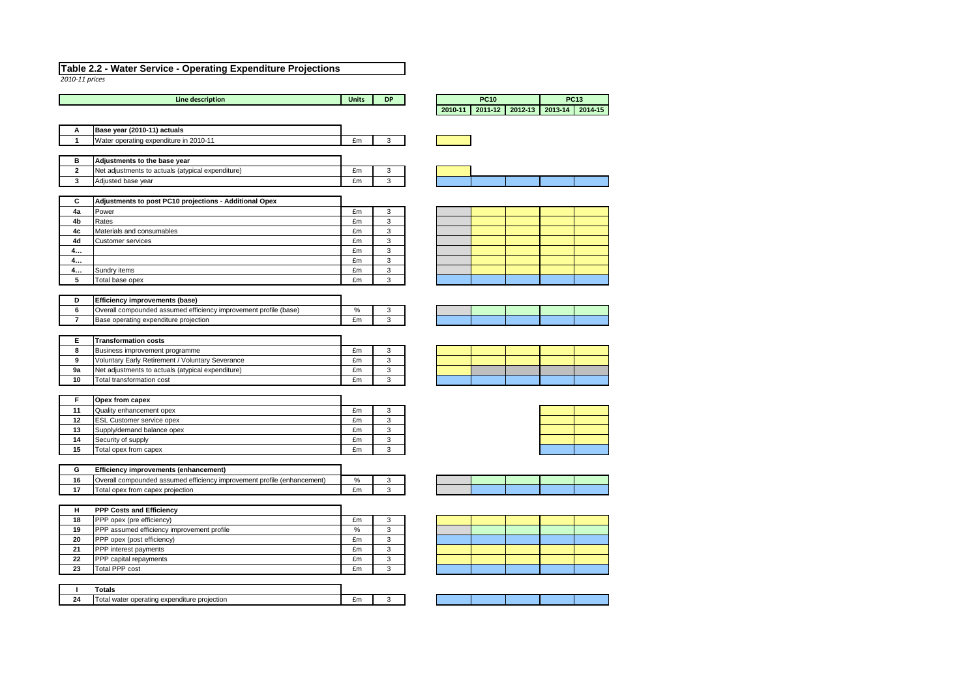*2010-11 prices*

| Line description | <b>Units</b> | <b>DP</b> |         | <b>PC10</b> |         |         | <b>PC13</b> |
|------------------|--------------|-----------|---------|-------------|---------|---------|-------------|
|                  |              |           | 2010-11 | 2011-12     | 2012-13 | 2013-14 | 2014-15     |

| A | Base year (2010-11) actuals                       |    |  |
|---|---------------------------------------------------|----|--|
|   | Water operating expenditure in 2010-11            | £m |  |
|   |                                                   |    |  |
|   |                                                   |    |  |
| В | Adjustments to the base year                      |    |  |
|   | Net adjustments to actuals (atypical expenditure) | £m |  |

| C  | Adjustments to post PC10 projections - Additional Opex |    |   |
|----|--------------------------------------------------------|----|---|
| 4a | Power                                                  | £m | 3 |
| 4b | Rates                                                  | £m | 3 |
| 4c | Materials and consumables                              | £m | 3 |
| 4d | <b>Customer services</b>                               | £m | 3 |
| 4  |                                                        | £m | 3 |
| 4  |                                                        | £m | 3 |
| 4  | Sundry items                                           | £m | 3 |
| 5  | Total base opex                                        | £m | 3 |

| <b>Efficiency improvements (base)</b>                             |      |  |
|-------------------------------------------------------------------|------|--|
| (Overall compounded assumed efficiency improvement profile (base) | $\%$ |  |
| Base operating expenditure projection                             | £m   |  |

|    | <b>Transformation costs</b>                             |    |   |
|----|---------------------------------------------------------|----|---|
|    | Business improvement programme                          | £m | ົ |
| 9  | <b>Voluntary Early Retirement / Voluntary Severance</b> | £m |   |
| 9a | Net adjustments to actuals (atypical expenditure)       | £m |   |
| 10 | Total transformation cost                               | £m |   |

|                 | <b>Opex from capex</b>           |    |   |
|-----------------|----------------------------------|----|---|
| 11              | Quality enhancement opex         | £m |   |
| 12 <sub>2</sub> | <b>ESL Customer service opex</b> | £m | ົ |
| 13              | Supply/demand balance opex       | £m |   |
| 14              | Security of supply               | £m |   |
| 15              | Total opex from capex            | £m |   |

|    | <b>Efficiency improvements (enhancement)</b>                            |    |  |
|----|-------------------------------------------------------------------------|----|--|
| 16 | Overall compounded assumed efficiency improvement profile (enhancement) | %  |  |
|    | Total opex from capex projection                                        | £m |  |

| н  | <b>PPP Costs and Efficiency</b>            |    |   |
|----|--------------------------------------------|----|---|
| 18 | <b>PPP</b> opex (pre efficiency)           | £m |   |
| 19 | PPP assumed efficiency improvement profile | %  | ົ |
| 20 | <b>PPP</b> opex (post efficiency)          | £m |   |
| 21 | <b>PPP</b> interest payments               | £m | ົ |
| 22 | <b>PPP</b> capital repayments              | £m | ົ |
| 23 | Total PPP cost                             | £m |   |

|                   | .                                                           |        |  |
|-------------------|-------------------------------------------------------------|--------|--|
| ער<br><u>— - </u> | projection<br>expenditure<br>operating<br>n.<br>'ater<br>м. | $\sim$ |  |













#### **Table 2.2 - Water Service - Operating Expenditure Projections**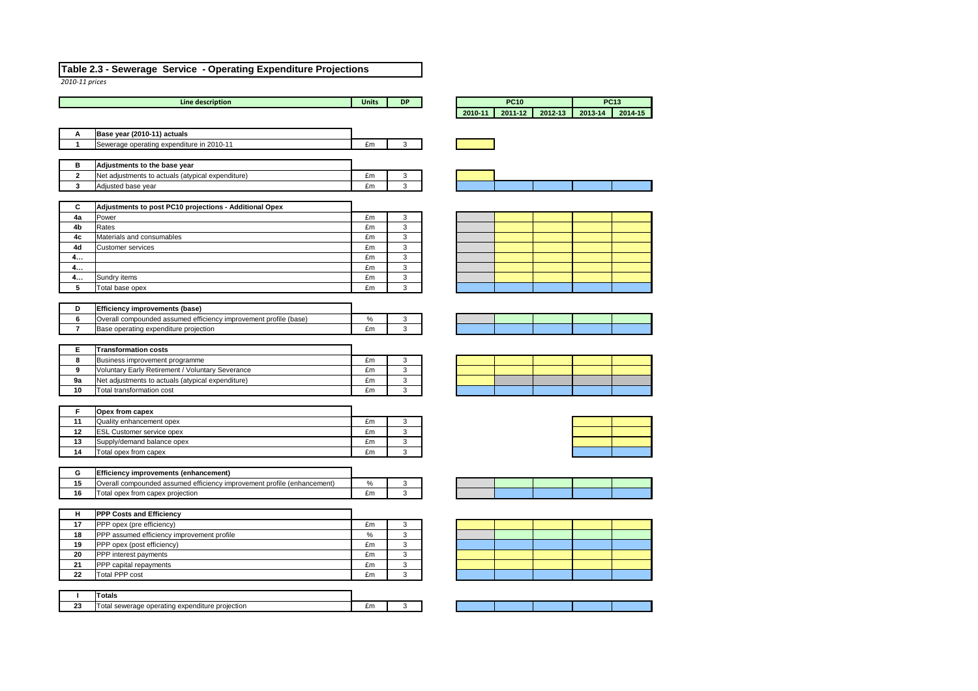*2010-11 prices*



|                | <b>Line description</b>                                                 | <b>Units</b> | <b>DP</b> |         | <b>PC10</b> |         |         | <b>PC13</b> |
|----------------|-------------------------------------------------------------------------|--------------|-----------|---------|-------------|---------|---------|-------------|
|                |                                                                         |              |           | 2010-11 | 2011-12     | 2012-13 | 2013-14 |             |
|                |                                                                         |              |           |         |             |         |         |             |
| Α              | Base year (2010-11) actuals                                             |              |           |         |             |         |         |             |
| 1              | Sewerage operating expenditure in 2010-11                               | £m           | 3         |         |             |         |         |             |
|                |                                                                         |              |           |         |             |         |         |             |
| B              | Adjustments to the base year                                            |              |           |         |             |         |         |             |
| $\mathbf{2}$   | Net adjustments to actuals (atypical expenditure)                       | £m           | 3         |         |             |         |         |             |
| 3              | Adjusted base year                                                      | £m           | 3         |         |             |         |         |             |
|                |                                                                         |              |           |         |             |         |         |             |
| $\mathbf c$    | Adjustments to post PC10 projections - Additional Opex                  |              |           |         |             |         |         |             |
| 4a             | Power                                                                   | £m           | 3         |         |             |         |         |             |
| 4b             | Rates                                                                   | £m           | 3         |         |             |         |         |             |
| 4c             | Materials and consumables                                               | £m           | 3         |         |             |         |         |             |
| 4d             | <b>Customer services</b>                                                | £m           | 3         |         |             |         |         |             |
| 4              |                                                                         | £m           | 3         |         |             |         |         |             |
| 4              |                                                                         | £m           | 3         |         |             |         |         |             |
| 4              | Sundry items                                                            | £m           | 3         |         |             |         |         |             |
| 5              | Total base opex                                                         | £m           | 3         |         |             |         |         |             |
|                |                                                                         |              |           |         |             |         |         |             |
| D              | <b>Efficiency improvements (base)</b>                                   |              |           |         |             |         |         |             |
| 6              | Overall compounded assumed efficiency improvement profile (base)        | $\%$         | 3         |         |             |         |         |             |
| $\overline{7}$ | Base operating expenditure projection                                   | £m           | 3         |         |             |         |         |             |
|                |                                                                         |              |           |         |             |         |         |             |
| Е              | <b>Transformation costs</b>                                             |              |           |         |             |         |         |             |
| 8              | Business improvement programme                                          | £m           | 3         |         |             |         |         |             |
| 9              | Voluntary Early Retirement / Voluntary Severance                        | £m           | 3         |         |             |         |         |             |
| 9a             | Net adjustments to actuals (atypical expenditure)                       | £m           | 3         |         |             |         |         |             |
| 10             | Total transformation cost                                               | £m           | 3         |         |             |         |         |             |
|                |                                                                         |              |           |         |             |         |         |             |
| F              | Opex from capex                                                         |              |           |         |             |         |         |             |
| 11             | Quality enhancement opex                                                | £m           | 3         |         |             |         |         |             |
| 12<br>13       | <b>ESL Customer service opex</b><br>Supply/demand balance opex          | £m<br>£m     | 3<br>3    |         |             |         |         |             |
| 14             | Total opex from capex                                                   | £m           | 3         |         |             |         |         |             |
|                |                                                                         |              |           |         |             |         |         |             |
| G              | <b>Efficiency improvements (enhancement)</b>                            |              |           |         |             |         |         |             |
| 15             | Overall compounded assumed efficiency improvement profile (enhancement) | $\%$         | 3         |         |             |         |         |             |
| 16             | Total opex from capex projection                                        | £m           | 3         |         |             |         |         |             |
|                |                                                                         |              |           |         |             |         |         |             |
| H              | <b>PPP Costs and Efficiency</b>                                         |              |           |         |             |         |         |             |
| 17             | PPP opex (pre efficiency)                                               | £m           | 3         |         |             |         |         |             |
| 18             | PPP assumed efficiency improvement profile                              | $\%$         | 3         |         |             |         |         |             |
| 19             | PPP opex (post efficiency)                                              | £m           | 3         |         |             |         |         |             |
| 20             | PPP interest payments                                                   | £m           | 3         |         |             |         |         |             |
| 21             | PPP capital repayments                                                  | £m           | 3         |         |             |         |         |             |
| 22             | <b>Total PPP cost</b>                                                   | £m           | 3         |         |             |         |         |             |
|                |                                                                         |              |           |         |             |         |         |             |
| $\mathbf I$    | <b>Totals</b>                                                           |              |           |         |             |         |         |             |
| 23             | Total sewerage operating expenditure projection                         | £m           | 3         |         |             |         |         |             |

|             | <b>PC10</b> |         | <b>PC13</b> |     |
|-------------|-------------|---------|-------------|-----|
| $2010 - 11$ | 2011-12     | 2012-13 | 2013-14     | 201 |
|             |             |         |             |     |
|             |             |         |             |     |
|             |             |         |             |     |
|             |             |         |             |     |
|             |             |         |             |     |
|             |             |         |             |     |
|             |             |         |             |     |
|             |             |         |             |     |
|             |             |         |             |     |
|             |             |         |             |     |
|             |             |         |             |     |
|             |             |         |             |     |
|             |             |         |             |     |
|             |             |         |             |     |
|             |             |         |             |     |
|             |             |         |             |     |
|             |             |         |             |     |
|             |             |         |             |     |
|             |             |         |             |     |
|             |             |         |             |     |
|             |             |         |             |     |
|             |             |         |             |     |
|             |             |         |             |     |
|             |             |         |             |     |
|             |             |         |             |     |
|             |             |         |             |     |
|             |             |         |             | Ш   |

#### **Table 2.3 - Sewerage Service - Operating Expenditure Projections**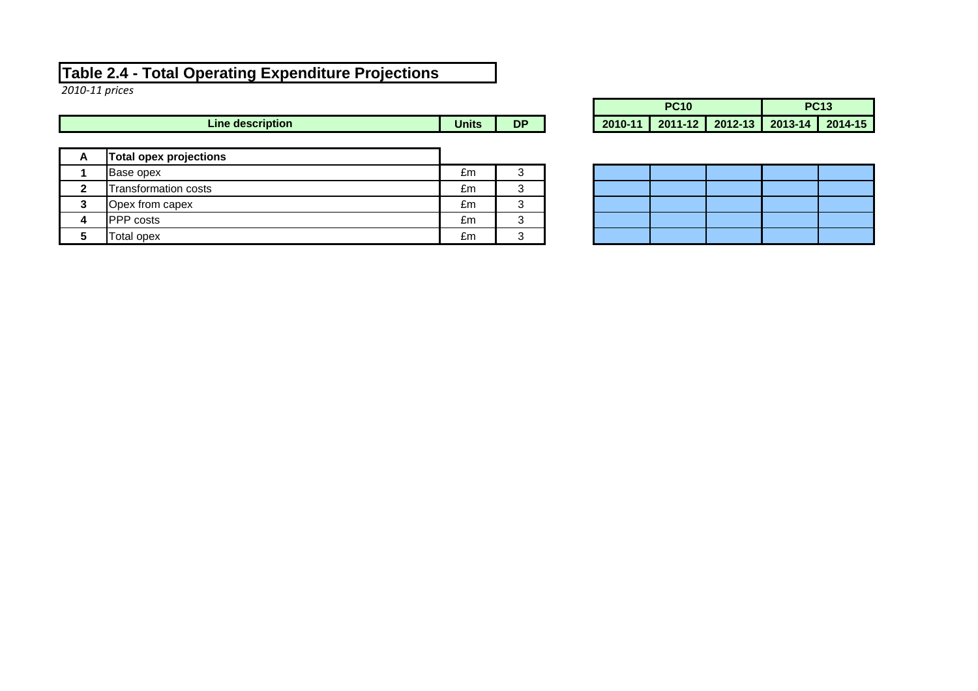#### **Table 2.4 - Total Operating Expenditure Projections**

*2010-11 prices*

|              | <b>Line description</b>       | <b>Units</b> | <b>DP</b> |
|--------------|-------------------------------|--------------|-----------|
| A            | <b>Total opex projections</b> |              |           |
|              | <b>Base opex</b>              | £m           | 3         |
| $\mathbf{2}$ | <b>Transformation costs</b>   | £m           | 3         |
| 3            | Opex from capex               | £m           | 3         |
|              | PPP costs                     | £m           | 3         |
| 5            | Total opex                    | £m           | 3         |

|              |    | <b>PC10</b> |  | <b>PC13</b>                                     |  |  |
|--------------|----|-------------|--|-------------------------------------------------|--|--|
| <b>Units</b> | DР |             |  | 2010-11   2011-12   2012-13   2013-14   2014-15 |  |  |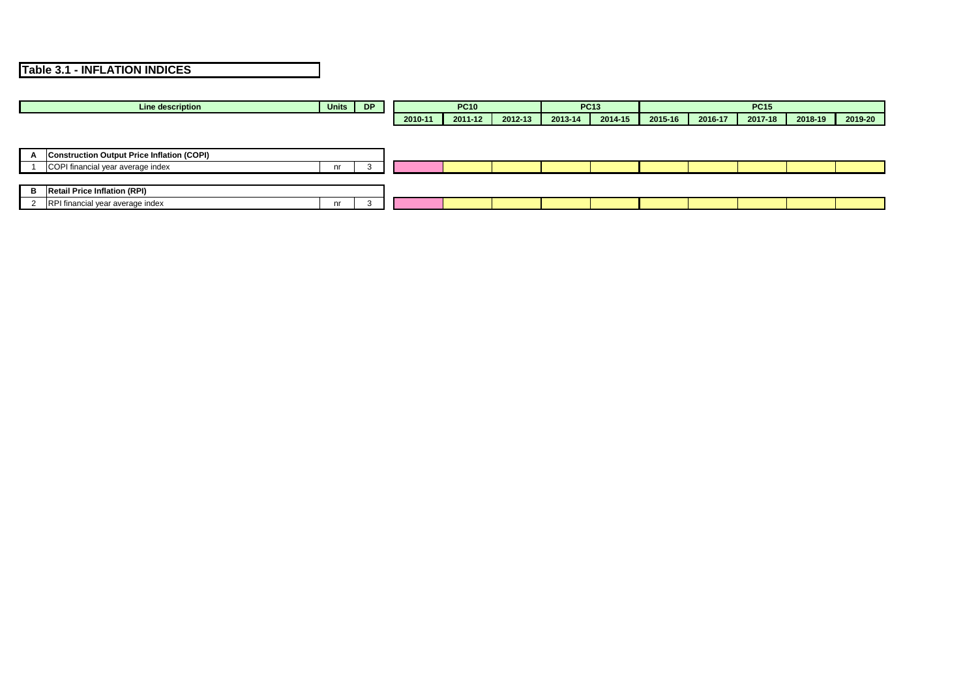|              | Line description                                  | Units | <b>DP</b> |         | <b>PC10</b> |         |         | <b>PC13</b> |         |         | <b>PC15</b> |         |         |
|--------------|---------------------------------------------------|-------|-----------|---------|-------------|---------|---------|-------------|---------|---------|-------------|---------|---------|
|              |                                                   |       |           | 2010-11 | 2011-12     | 2012-13 | 2013-14 | 2014-15     | 2015-16 | 2016-17 | 2017-18     | 2018-19 | 2019-20 |
|              |                                                   |       |           |         |             |         |         |             |         |         |             |         |         |
|              |                                                   |       |           |         |             |         |         |             |         |         |             |         |         |
| $\mathbf{A}$ | <b>Construction Output Price Inflation (COPI)</b> |       |           |         |             |         |         |             |         |         |             |         |         |
|              | COPI financial year average index                 | nr    | -3        |         |             |         |         |             |         |         |             |         |         |
|              |                                                   |       |           |         |             |         |         |             |         |         |             |         |         |
| B            | <b>Retail Price Inflation (RPI)</b>               |       |           |         |             |         |         |             |         |         |             |         |         |
| 2            | RPI financial year average index                  | nr    | 3         |         |             |         |         |             |         |         |             |         |         |
|              |                                                   |       |           |         |             |         |         |             |         |         |             |         |         |

## **Table 3.1 - INFLATION INDICES**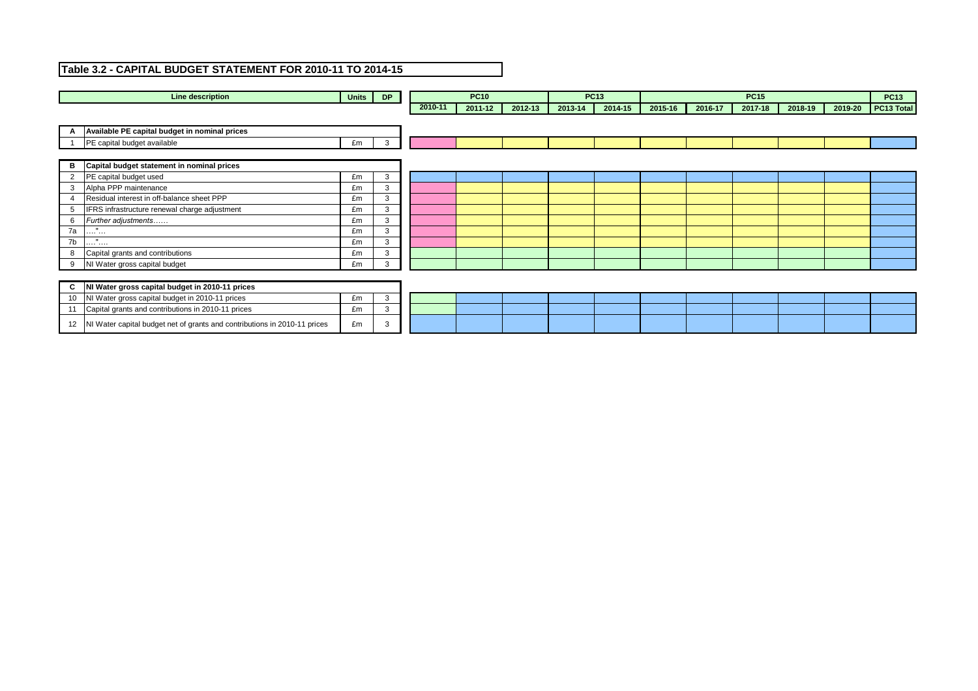| <b>Line description</b>                                                         | Units | <b>DP</b>     |         | <b>PC10</b> |         |         | <b>PC13</b> |         |         | <b>PC15</b> |         |         | <b>PC13</b> |
|---------------------------------------------------------------------------------|-------|---------------|---------|-------------|---------|---------|-------------|---------|---------|-------------|---------|---------|-------------|
|                                                                                 |       |               | 2010-11 | 2011-12     | 2012-13 | 2013-14 | 2014-15     | 2015-16 | 2016-17 | 2017-18     | 2018-19 | 2019-20 | PC13 Total  |
|                                                                                 |       |               |         |             |         |         |             |         |         |             |         |         |             |
| Available PE capital budget in nominal prices                                   |       |               |         |             |         |         |             |         |         |             |         |         |             |
| PE capital budget available                                                     | £m    | 3             |         |             |         |         |             |         |         |             |         |         |             |
|                                                                                 |       |               |         |             |         |         |             |         |         |             |         |         |             |
| Capital budget statement in nominal prices<br>B                                 |       |               |         |             |         |         |             |         |         |             |         |         |             |
| PE capital budget used<br>$\overline{2}$                                        | £m    | 3             |         |             |         |         |             |         |         |             |         |         |             |
| Alpha PPP maintenance<br>$\mathbf{3}$                                           | £m    | 3             |         |             |         |         |             |         |         |             |         |         |             |
| Residual interest in off-balance sheet PPP                                      | £m    | 3             |         |             |         |         |             |         |         |             |         |         |             |
| IFRS infrastructure renewal charge adjustment<br>5                              | £m    | 3             |         |             |         |         |             |         |         |             |         |         |             |
| Further adjustments<br>6                                                        | £m    | 3             |         |             |         |         |             |         |         |             |         |         |             |
| $\mathbf{u}$<br>7a<br>$\sim 10^{11}$ and $\sim 10^{11}$                         | £m    | 3             |         |             |         |         |             |         |         |             |         |         |             |
| $\mathbf{u}$<br>7b<br>.                                                         | £m    | 3             |         |             |         |         |             |         |         |             |         |         |             |
| Capital grants and contributions<br>8                                           | £m    | 3             |         |             |         |         |             |         |         |             |         |         |             |
| NI Water gross capital budget<br>9                                              | £m    | $\mathcal{R}$ |         |             |         |         |             |         |         |             |         |         |             |
|                                                                                 |       |               |         |             |         |         |             |         |         |             |         |         |             |
| NI Water gross capital budget in 2010-11 prices<br>C                            |       |               |         |             |         |         |             |         |         |             |         |         |             |
| NI Water gross capital budget in 2010-11 prices<br>10                           | £m    | 3             |         |             |         |         |             |         |         |             |         |         |             |
| Capital grants and contributions in 2010-11 prices<br>11                        | £m    | 3             |         |             |         |         |             |         |         |             |         |         |             |
| NI Water capital budget net of grants and contributions in 2010-11 prices<br>12 | £m    | 3             |         |             |         |         |             |         |         |             |         |         |             |
|                                                                                 |       |               |         |             |         |         |             |         |         |             |         |         |             |

## **Table 3.2 - CAPITAL BUDGET STATEMENT FOR 2010-11 TO 2014-15**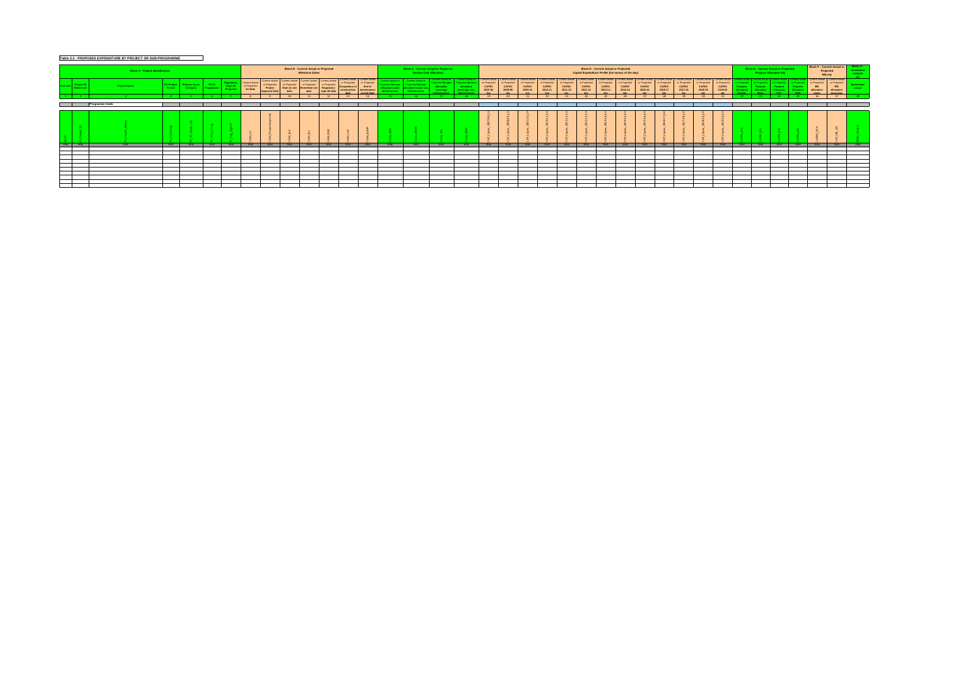|                                 | <b>Block A - Project Identification</b> |                                                                |                   |                                    |                                           |                                                                   |                                              | <b>Block B - Current Actual or Projected</b><br><b>Milestone Dates</b> |                                             |                                                              |                                                        |                                 | <b>Block C - Current Actual or Projected</b><br><b>Service Cost Allocation</b> |                                                                                                 |                                                                                                      |                                         |                                                                                                        |                                                            |                                         |                                             | <b>Capital Expenditure Profile (£m money of the day)</b> | <b>Block D - Current Actual or Projected</b>                         |                                                          |                                         |                                         |                                         |                                         |                                                           |                      | <b>Block E - Current Actual or Projected</b><br><b>Purpose Allocation (%)</b> |                       |                       | Block F - Current Actual or<br>Projected<br>IRE(%)                                   |                                                      | <b>Block G -</b> |
|---------------------------------|-----------------------------------------|----------------------------------------------------------------|-------------------|------------------------------------|-------------------------------------------|-------------------------------------------------------------------|----------------------------------------------|------------------------------------------------------------------------|---------------------------------------------|--------------------------------------------------------------|--------------------------------------------------------|---------------------------------|--------------------------------------------------------------------------------|-------------------------------------------------------------------------------------------------|------------------------------------------------------------------------------------------------------|-----------------------------------------|--------------------------------------------------------------------------------------------------------|------------------------------------------------------------|-----------------------------------------|---------------------------------------------|----------------------------------------------------------|----------------------------------------------------------------------|----------------------------------------------------------|-----------------------------------------|-----------------------------------------|-----------------------------------------|-----------------------------------------|-----------------------------------------------------------|----------------------|-------------------------------------------------------------------------------|-----------------------|-----------------------|--------------------------------------------------------------------------------------|------------------------------------------------------|------------------|
| ort Ref Project ID<br>Reference | <b>Project Name</b>                     | PC Project Primary Asset<br>Period Category<br><b>Category</b> | PC13<br>Programme | Regulatory<br>Sign-off<br>Required | Current Actual<br>or Projected<br>A1 Date | <b>Current Actual</b><br>or Projected<br>Project<br>Approval Date | or Projected<br><b>Start on site</b><br>date | or Projected<br><b>Beneficial use</b><br>date                          | or Projected<br>Regulatory<br>sign-off date | Current Actual Current Actua<br>or Projected<br>construction | or Projected<br>End of<br>  maintenance<br>period date | location water<br>ıfrastructure | Projected Service<br>lallocation water no<br>infrastructure                    | Current Actual or<br><b>Projected Service</b><br>allocation<br>sewerage<br><b>ofrastructure</b> | <b>Current Actual or</b><br>Projected Service<br>allocation<br>sewerage non-<br><u>infrastructur</u> | or Projected<br><b>CAPEX</b><br>2007-08 | Current Actual   Current Actua<br>or Projected<br><b>CAPEX</b><br>2008-09<br>$\mathbf{c}_{\mathbf{m}}$ | or Projected<br><b>CAPEX</b><br>2009-10<br>cm <sub>2</sub> | or Projected<br><b>CAPEX</b><br>2010-11 | or Projected<br><b>CAPEX</b><br>$2011 - 12$ | or Projected<br><b>CAPEX</b><br>2012-13                  | or Projected<br><b>CAPEX</b><br>2013-14<br>$\mathbf{c}_{\mathbf{m}}$ | or Projected<br><b>CAPEX</b><br>2014-15<br>$C_{\rm rms}$ | or Projected<br><b>CAPEX</b><br>2015-16 | or Projected<br><b>CAPEX</b><br>2016-17 | or Projected<br><b>CAPEX</b><br>2017-18 | or Projected<br><b>CAPEX</b><br>2018-19 | Current Actual<br>or Projected<br><b>CAPEX</b><br>2019-20 | ırpose<br>Allocation | Projected<br>Purpose<br>Allocation                                            | Purpose<br>Allocation | Purpose<br>Allocation | Current Actual Current Actual<br>or Projected  <br><b>IRE</b><br>allocation<br>water | or Projected<br><b>IRE</b><br>allocation<br>sewerage |                  |
|                                 |                                         |                                                                |                   |                                    |                                           |                                                                   |                                              |                                                                        |                                             |                                                              | $\overline{14}$                                        |                                 |                                                                                |                                                                                                 |                                                                                                      | $-19$                                   |                                                                                                        |                                                            | ົາາ                                     |                                             | $2\Delta$                                                |                                                                      | 76                                                       |                                         |                                         | 29                                      | ാറ                                      | $-21$                                                     |                      |                                                                               |                       |                       | - 36                                                                                 |                                                      |                  |
|                                 | Programme totals                        |                                                                |                   |                                    |                                           |                                                                   |                                              |                                                                        |                                             |                                                              |                                                        |                                 |                                                                                |                                                                                                 |                                                                                                      |                                         |                                                                                                        |                                                            |                                         |                                             |                                                          |                                                                      |                                                          |                                         |                                         |                                         |                                         |                                                           |                      |                                                                               |                       |                       |                                                                                      |                                                      |                  |
|                                 |                                         |                                                                |                   |                                    |                                           |                                                                   |                                              |                                                                        |                                             |                                                              |                                                        |                                 |                                                                                |                                                                                                 |                                                                                                      |                                         |                                                                                                        |                                                            |                                         |                                             |                                                          |                                                                      |                                                          |                                         |                                         |                                         |                                         |                                                           |                      |                                                                               |                       |                       |                                                                                      |                                                      |                  |
| End End                         | End  <br><b>End</b>                     | <b>End</b>                                                     |                   | End <sup>1</sup><br>End            | End                                       | End                                                               | End                                          | End                                                                    | End                                         | End                                                          | End                                                    | End                             | End                                                                            | End                                                                                             | End                                                                                                  | End                                     | End                                                                                                    | End                                                        | End                                     | End                                         | End                                                      | End                                                                  | End                                                      | End                                     | End                                     | End                                     | End                                     | End                                                       | End                  | End                                                                           | End End               |                       | End                                                                                  | End                                                  | <b>End</b>       |
|                                 |                                         |                                                                |                   |                                    |                                           |                                                                   |                                              |                                                                        |                                             |                                                              |                                                        |                                 |                                                                                |                                                                                                 |                                                                                                      |                                         |                                                                                                        |                                                            |                                         |                                             |                                                          |                                                                      |                                                          |                                         |                                         |                                         |                                         |                                                           |                      |                                                                               |                       |                       |                                                                                      |                                                      |                  |
|                                 |                                         |                                                                |                   |                                    |                                           |                                                                   |                                              |                                                                        |                                             |                                                              |                                                        |                                 |                                                                                |                                                                                                 |                                                                                                      |                                         |                                                                                                        |                                                            |                                         |                                             |                                                          |                                                                      |                                                          |                                         |                                         |                                         |                                         |                                                           |                      |                                                                               |                       |                       |                                                                                      |                                                      |                  |
|                                 |                                         |                                                                |                   |                                    |                                           |                                                                   |                                              |                                                                        |                                             |                                                              |                                                        |                                 |                                                                                |                                                                                                 |                                                                                                      |                                         |                                                                                                        |                                                            |                                         |                                             |                                                          |                                                                      |                                                          |                                         |                                         |                                         |                                         |                                                           |                      |                                                                               |                       |                       |                                                                                      |                                                      |                  |
|                                 |                                         |                                                                |                   |                                    |                                           |                                                                   |                                              |                                                                        |                                             |                                                              |                                                        |                                 |                                                                                |                                                                                                 |                                                                                                      |                                         |                                                                                                        |                                                            |                                         |                                             |                                                          |                                                                      |                                                          |                                         |                                         |                                         |                                         |                                                           |                      |                                                                               |                       |                       |                                                                                      |                                                      |                  |
|                                 |                                         |                                                                |                   |                                    |                                           |                                                                   |                                              |                                                                        |                                             |                                                              |                                                        |                                 |                                                                                |                                                                                                 |                                                                                                      |                                         |                                                                                                        |                                                            |                                         |                                             |                                                          |                                                                      |                                                          |                                         |                                         |                                         |                                         |                                                           |                      |                                                                               |                       |                       |                                                                                      |                                                      |                  |
|                                 |                                         |                                                                |                   |                                    |                                           |                                                                   |                                              |                                                                        |                                             |                                                              |                                                        |                                 |                                                                                |                                                                                                 |                                                                                                      |                                         |                                                                                                        |                                                            |                                         |                                             |                                                          |                                                                      |                                                          |                                         |                                         |                                         |                                         |                                                           |                      |                                                                               |                       |                       |                                                                                      |                                                      |                  |
|                                 |                                         |                                                                |                   |                                    |                                           |                                                                   |                                              |                                                                        |                                             |                                                              |                                                        |                                 |                                                                                |                                                                                                 |                                                                                                      |                                         |                                                                                                        |                                                            |                                         |                                             |                                                          |                                                                      |                                                          |                                         |                                         |                                         |                                         |                                                           |                      |                                                                               |                       |                       |                                                                                      |                                                      |                  |
|                                 |                                         |                                                                |                   |                                    |                                           |                                                                   |                                              |                                                                        |                                             |                                                              |                                                        |                                 |                                                                                |                                                                                                 |                                                                                                      |                                         |                                                                                                        |                                                            |                                         |                                             |                                                          |                                                                      |                                                          |                                         |                                         |                                         |                                         |                                                           |                      |                                                                               |                       |                       |                                                                                      |                                                      |                  |
|                                 |                                         |                                                                |                   |                                    |                                           |                                                                   |                                              |                                                                        |                                             |                                                              |                                                        |                                 |                                                                                |                                                                                                 |                                                                                                      |                                         |                                                                                                        |                                                            |                                         |                                             |                                                          |                                                                      |                                                          |                                         |                                         |                                         |                                         |                                                           |                      |                                                                               |                       |                       |                                                                                      |                                                      |                  |

# **Table 3.3 - PROPOSED EXPENDITURE BY PROJECT OR SUB-PROGRAMME**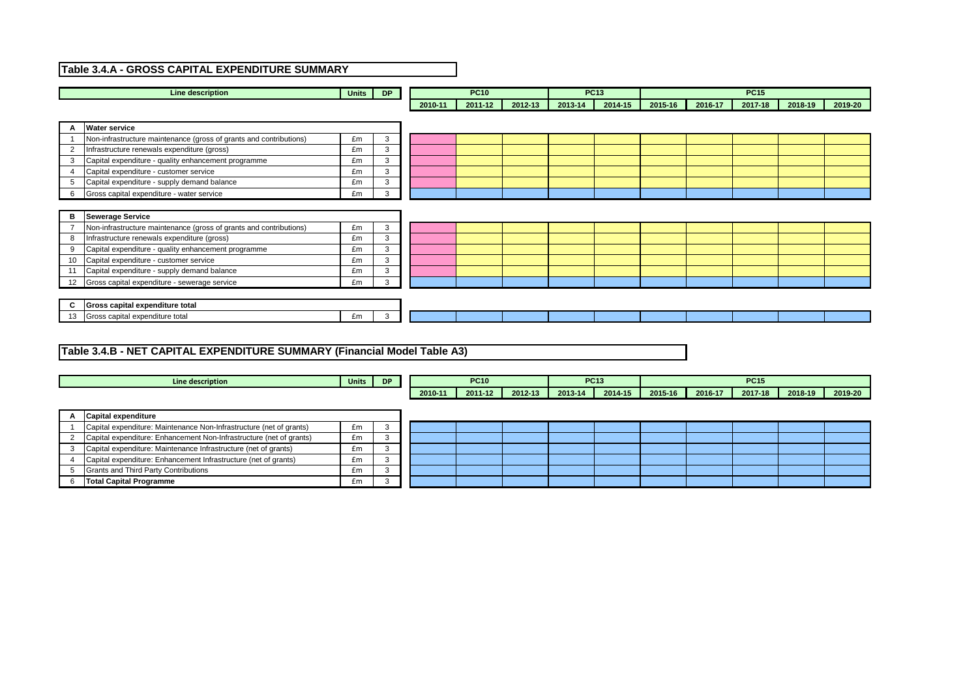|                | <b>Line description</b>                                            | <b>Units</b> | <b>DP</b>    |         | <b>PC10</b> |         |         | <b>PC13</b> |         |         | <b>PC15</b> |         |         |
|----------------|--------------------------------------------------------------------|--------------|--------------|---------|-------------|---------|---------|-------------|---------|---------|-------------|---------|---------|
|                |                                                                    |              |              | 2010-11 | 2011-12     | 2012-13 | 2013-14 | 2014-15     | 2015-16 | 2016-17 | 2017-18     | 2018-19 | 2019-20 |
|                |                                                                    |              |              |         |             |         |         |             |         |         |             |         |         |
| A              | <b>Water service</b>                                               |              |              |         |             |         |         |             |         |         |             |         |         |
|                | Non-infrastructure maintenance (gross of grants and contributions) | £m           | 3            |         |             |         |         |             |         |         |             |         |         |
| 2              | nfrastructure renewals expenditure (gross)                         | £m           | 3            |         |             |         |         |             |         |         |             |         |         |
| 3              | Capital expenditure - quality enhancement programme                | £m           | $\mathbf{3}$ |         |             |         |         |             |         |         |             |         |         |
|                | Capital expenditure - customer service                             | £m           | $\mathbf{3}$ |         |             |         |         |             |         |         |             |         |         |
| -5             | Capital expenditure - supply demand balance                        | £m           | 3            |         |             |         |         |             |         |         |             |         |         |
| 6              | Gross capital expenditure - water service                          | £m           | $\mathbf{3}$ |         |             |         |         |             |         |         |             |         |         |
|                |                                                                    |              |              |         |             |         |         |             |         |         |             |         |         |
| B              | <b>Sewerage Service</b>                                            |              |              |         |             |         |         |             |         |         |             |         |         |
| $\overline{7}$ | Non-infrastructure maintenance (gross of grants and contributions) | £m           | 3            |         |             |         |         |             |         |         |             |         |         |
| 8              | Infrastructure renewals expenditure (gross)                        | £m           | 3            |         |             |         |         |             |         |         |             |         |         |
| 9              | Capital expenditure - quality enhancement programme                | £m           | 3            |         |             |         |         |             |         |         |             |         |         |
| 10             | Capital expenditure - customer service                             | £m           | 3            |         |             |         |         |             |         |         |             |         |         |
|                | Capital expenditure - supply demand balance                        | £m           | 3            |         |             |         |         |             |         |         |             |         |         |
| 12             | Gross capital expenditure - sewerage service                       | £m           | 3            |         |             |         |         |             |         |         |             |         |         |
|                |                                                                    |              |              |         |             |         |         |             |         |         |             |         |         |
| $\mathbf c$    | Gross capital expenditure total                                    |              |              |         |             |         |         |             |         |         |             |         |         |
| 13             | Gross capital expenditure total                                    | £m           | 3            |         |             |         |         |             |         |         |             |         |         |

|   | Line description                                                    | Units | <b>DP</b> |         | <b>PC10</b> |         |         | <b>PC13</b> |         |         | <b>PC15</b> |         |         |
|---|---------------------------------------------------------------------|-------|-----------|---------|-------------|---------|---------|-------------|---------|---------|-------------|---------|---------|
|   |                                                                     |       |           | 2010-11 | 2011-12     | 2012-13 | 2013-14 | 2014-15     | 2015-16 | 2016-17 | 2017-18     | 2018-19 | 2019-20 |
|   |                                                                     |       |           |         |             |         |         |             |         |         |             |         |         |
| A | Capital expenditure                                                 |       |           |         |             |         |         |             |         |         |             |         |         |
|   | Capital expenditure: Maintenance Non-Infrastructure (net of grants) | £m    | 3         |         |             |         |         |             |         |         |             |         |         |
|   | Capital expenditure: Enhancement Non-Infrastructure (net of grants) | £m    | 3         |         |             |         |         |             |         |         |             |         |         |
|   | Capital expenditure: Maintenance Infrastructure (net of grants)     | £m    | 3         |         |             |         |         |             |         |         |             |         |         |
|   | Capital expenditure: Enhancement Infrastructure (net of grants)     | £m    | - 3       |         |             |         |         |             |         |         |             |         |         |
| 5 | Grants and Third Party Contributions                                | £m    | 3         |         |             |         |         |             |         |         |             |         |         |
|   | <b>Total Capital Programme</b>                                      | £m    | $\sim$    |         |             |         |         |             |         |         |             |         |         |

## **Table 3.4.A - GROSS CAPITAL EXPENDITURE SUMMARY**

## **Table 3.4.B - NET CAPITAL EXPENDITURE SUMMARY (Financial Model Table A3)**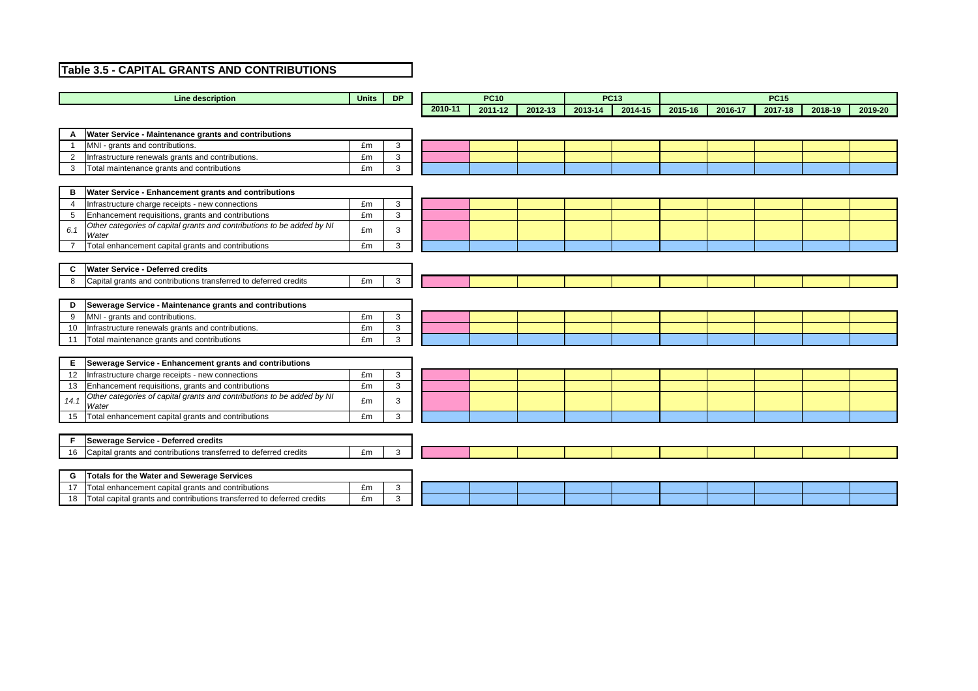| <b>Line description</b>                                                                 | <b>Units</b> | <b>DP</b>      |         | <b>PC10</b> |         |         | <b>PC13</b> |         |         | <b>PC15</b> |         |         |
|-----------------------------------------------------------------------------------------|--------------|----------------|---------|-------------|---------|---------|-------------|---------|---------|-------------|---------|---------|
|                                                                                         |              |                | 2010-11 | 2011-12     | 2012-13 | 2013-14 | 2014-15     | 2015-16 | 2016-17 | 2017-18     | 2018-19 | 2019-20 |
|                                                                                         |              |                |         |             |         |         |             |         |         |             |         |         |
| Water Service - Maintenance grants and contributions                                    |              |                |         |             |         |         |             |         |         |             |         |         |
| MNI - grants and contributions.                                                         | £m           | $\mathbf{3}$   |         |             |         |         |             |         |         |             |         |         |
| Infrastructure renewals grants and contributions.<br>$\overline{2}$                     | £m           | $\mathbf{3}$   |         |             |         |         |             |         |         |             |         |         |
| 3<br>Total maintenance grants and contributions                                         | £m           | $\mathbf{3}$   |         |             |         |         |             |         |         |             |         |         |
|                                                                                         |              |                |         |             |         |         |             |         |         |             |         |         |
| Water Service - Enhancement grants and contributions<br>В                               |              |                |         |             |         |         |             |         |         |             |         |         |
| Infrastructure charge receipts - new connections<br>$\overline{4}$                      | £m           | $\mathbf{3}$   |         |             |         |         |             |         |         |             |         |         |
| Enhancement requisitions, grants and contributions<br>5                                 | £m           | $\mathbf{3}$   |         |             |         |         |             |         |         |             |         |         |
| Other categories of capital grants and contributions to be added by NI<br>6.1<br>Water  | £m           | 3              |         |             |         |         |             |         |         |             |         |         |
| Total enhancement capital grants and contributions                                      | £m           | $\mathbf{3}$   |         |             |         |         |             |         |         |             |         |         |
|                                                                                         |              |                |         |             |         |         |             |         |         |             |         |         |
| <b>Water Service - Deferred credits</b><br>$\mathbf c$                                  |              |                |         |             |         |         |             |         |         |             |         |         |
| Capital grants and contributions transferred to deferred credits<br>8                   | £m           | $\mathbf{3}$   |         |             |         |         |             |         |         |             |         |         |
|                                                                                         |              |                |         |             |         |         |             |         |         |             |         |         |
| Sewerage Service - Maintenance grants and contributions<br>D                            |              |                |         |             |         |         |             |         |         |             |         |         |
| MNI - grants and contributions.<br>9                                                    | £m           | $\mathbf{3}$   |         |             |         |         |             |         |         |             |         |         |
| Infrastructure renewals grants and contributions.<br>10                                 | £m           | $\mathbf{3}$   |         |             |         |         |             |         |         |             |         |         |
| Total maintenance grants and contributions<br>11                                        | £m           | 3 <sup>1</sup> |         |             |         |         |             |         |         |             |         |         |
|                                                                                         |              |                |         |             |         |         |             |         |         |             |         |         |
| Sewerage Service - Enhancement grants and contributions<br>E.                           |              |                |         |             |         |         |             |         |         |             |         |         |
| 12<br>Infrastructure charge receipts - new connections                                  | £m           | $\mathbf{3}$   |         |             |         |         |             |         |         |             |         |         |
| Enhancement requisitions, grants and contributions<br>13                                | £m           | $\mathbf{3}$   |         |             |         |         |             |         |         |             |         |         |
| Other categories of capital grants and contributions to be added by NI<br>14.1<br>Water | £m           | 3              |         |             |         |         |             |         |         |             |         |         |
| Total enhancement capital grants and contributions<br>15                                | £m           | $\mathbf{3}$   |         |             |         |         |             |         |         |             |         |         |
|                                                                                         |              |                |         |             |         |         |             |         |         |             |         |         |
| <b>Sewerage Service - Deferred credits</b><br>F.                                        |              |                |         |             |         |         |             |         |         |             |         |         |
| Capital grants and contributions transferred to deferred credits<br>16                  | £m           | $\mathbf{3}$   |         |             |         |         |             |         |         |             |         |         |
|                                                                                         |              |                |         |             |         |         |             |         |         |             |         |         |
| Totals for the Water and Sewerage Services<br>G                                         |              |                |         |             |         |         |             |         |         |             |         |         |
| 17<br>Total enhancement capital grants and contributions                                | £m           | $\mathbf{3}$   |         |             |         |         |             |         |         |             |         |         |

## **Table 3.5 - CAPITAL GRANTS AND CONTRIBUTIONS**

18 Total capital grants and contributions transferred to deferred credits **Em** 3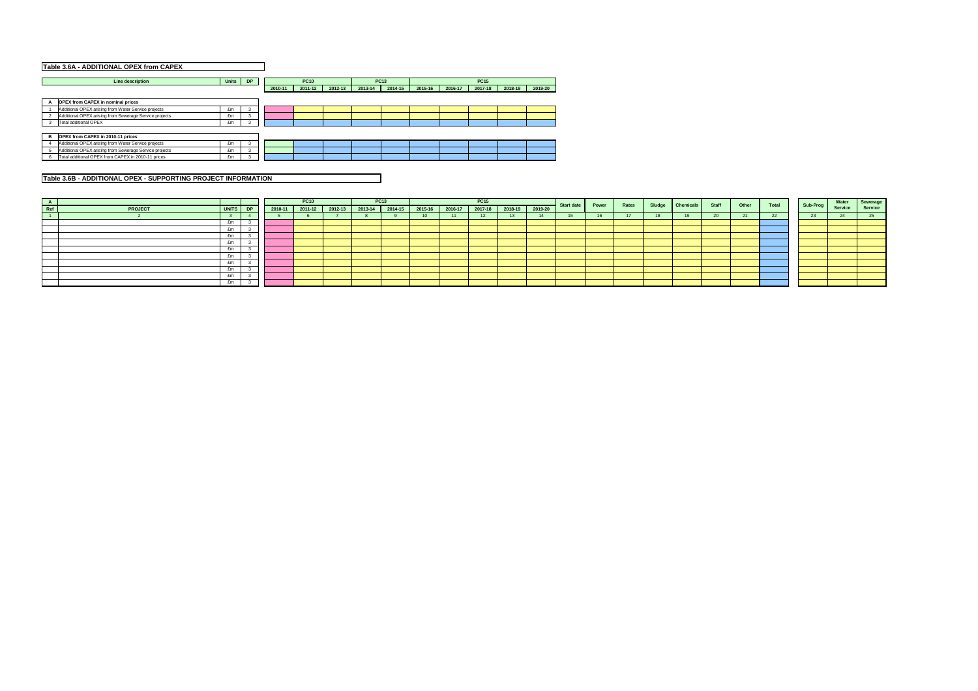| Table 3.6A - ADDITIONAL OPEX from CAPEX                |          |   |         |             |         |         |             |         |         |             |         |         |
|--------------------------------------------------------|----------|---|---------|-------------|---------|---------|-------------|---------|---------|-------------|---------|---------|
| <b>Line description</b>                                | Units DP |   |         | <b>PC10</b> |         |         | <b>PC13</b> |         |         | <b>PC15</b> |         |         |
|                                                        |          |   | 2010-11 | 2011-12     | 2012-13 | 2013-14 | 2014-15     | 2015-16 | 2016-17 | 2017-18     | 2018-19 | 2019-20 |
| <b>OPEX from CAPEX in nominal prices</b>               |          |   |         |             |         |         |             |         |         |             |         |         |
| Additional OPEX arising from Water Service projects    | £m       | 3 |         |             |         |         |             |         |         |             |         |         |
| Additional OPEX arising from Sewerage Service projects | £m       | 3 |         |             |         |         |             |         |         |             |         |         |
| Total additional OPEX                                  | £m       |   |         |             |         |         |             |         |         |             |         |         |
| <b>OPEX from CAPEX in 2010-11 prices</b><br>B          |          |   |         |             |         |         |             |         |         |             |         |         |
| Additional OPEX arising from Water Service projects    | £m       | 3 |         |             |         |         |             |         |         |             |         |         |
| Additional OPEX arising from Sewerage Service projects | £m       | 3 |         |             |         |         |             |         |         |             |         |         |
| Total additional OPEX from CAPEX in 2010-11 prices     | £m       | 3 |         |             |         |         |             |         |         |             |         |         |

| A<br>Ref |                            |           | <b>PC10</b>       |             | <b>PC13</b> |             |             | <b>PC15</b> |                 |         | $\overline{\phantom{a}}$ Start date | <b>Power</b> | Rates | Sludge Chemicals | Staff | Other | Total | Sub-Prog Water Sewerage |  |
|----------|----------------------------|-----------|-------------------|-------------|-------------|-------------|-------------|-------------|-----------------|---------|-------------------------------------|--------------|-------|------------------|-------|-------|-------|-------------------------|--|
|          | <b>PROJECT</b><br>UNITS DP | $2010-11$ | $2011-12$ 2012-13 | $2013 - 14$ | $2014 - 15$ | $2015 - 16$ | $2016 - 17$ |             | 2017-18 2018-19 | 2019-20 |                                     |              |       |                  |       |       |       |                         |  |
|          |                            |           |                   |             |             |             |             |             |                 | 14      |                                     |              |       |                  |       |       |       |                         |  |
|          | £m                         |           |                   |             |             |             |             |             |                 |         |                                     |              |       |                  |       |       |       |                         |  |
|          | £m                         |           |                   |             |             |             |             |             |                 |         |                                     |              |       |                  |       |       |       |                         |  |
|          | £m                         |           |                   |             |             |             |             |             |                 |         |                                     |              |       |                  |       |       |       |                         |  |
|          | £m                         |           |                   |             |             |             |             |             |                 |         |                                     |              |       |                  |       |       |       |                         |  |
|          | £m                         |           |                   |             |             |             |             |             |                 |         |                                     |              |       |                  |       |       |       |                         |  |
|          | £m                         |           |                   |             |             |             |             |             |                 |         |                                     |              |       |                  |       |       |       |                         |  |
|          | £m                         |           |                   |             |             |             |             |             |                 |         |                                     |              |       |                  |       |       |       |                         |  |
|          | £m                         |           |                   |             |             |             |             |             |                 |         |                                     |              |       |                  |       |       |       |                         |  |
|          | £m                         |           |                   |             |             |             |             |             |                 |         |                                     |              |       |                  |       |       |       |                         |  |
|          | £m                         |           |                   |             |             |             |             |             |                 |         |                                     |              |       |                  |       |       |       |                         |  |
|          |                            |           |                   |             |             |             |             |             |                 |         |                                     |              |       |                  |       |       |       |                         |  |

## **Table 3.6B - ADDITIONAL OPEX - SUPPORTING PROJECT INFORMATION**

| <b>Water</b><br>Service | <b>Sewerage</b><br><b>Service</b> |
|-------------------------|-----------------------------------|
| 24                      | 25                                |
|                         |                                   |
|                         |                                   |
|                         |                                   |
|                         |                                   |
|                         |                                   |
|                         |                                   |
|                         |                                   |
|                         |                                   |
|                         |                                   |
|                         |                                   |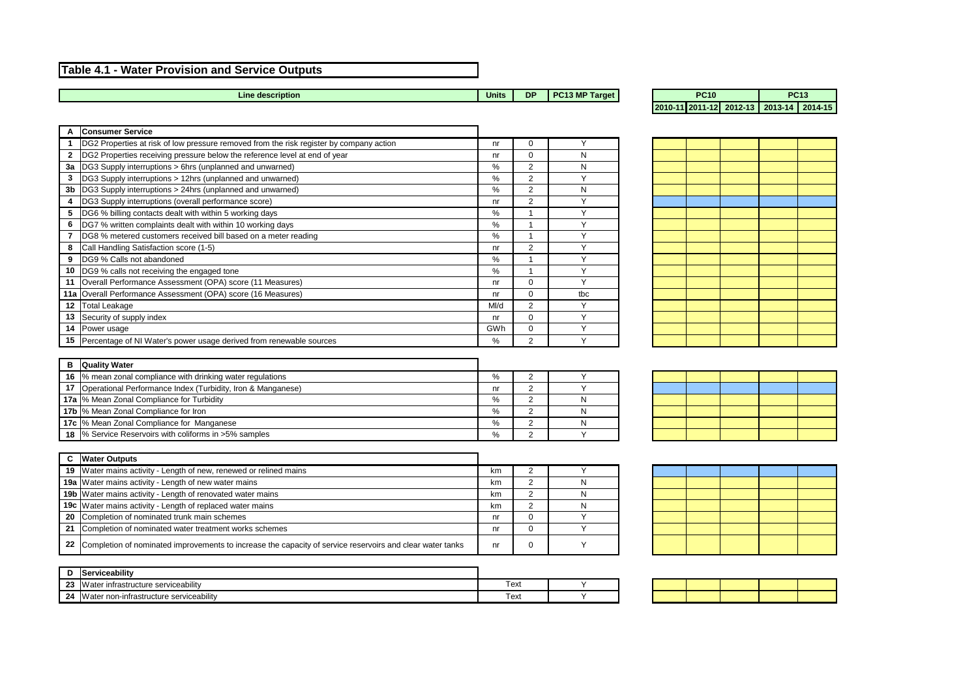## **Table 4.1 - Water Provision and Service Outputs**

**Units DP PC13 MP Target**

| A              | <b>Consumer Service</b>                                                                 |      |                |     |
|----------------|-----------------------------------------------------------------------------------------|------|----------------|-----|
|                | DG2 Properties at risk of low pressure removed from the risk register by company action | nr   | 0              |     |
| $\mathbf{2}$   | DG2 Properties receiving pressure below the reference level at end of year              | nr   | 0              | N   |
| 3a             | DG3 Supply interruptions > 6hrs (unplanned and unwarned)                                | $\%$ | $\overline{2}$ | N   |
| 3              | DG3 Supply interruptions > 12hrs (unplanned and unwarned)                               | $\%$ | $\overline{2}$ |     |
| 3 <sub>b</sub> | DG3 Supply interruptions > 24hrs (unplanned and unwarned)                               | $\%$ | $\overline{2}$ | N   |
| 4              | DG3 Supply interruptions (overall performance score)                                    | nr   | $\overline{2}$ |     |
| 5              | DG6 % billing contacts dealt with within 5 working days                                 | $\%$ |                |     |
| 6              | DG7 % written complaints dealt with within 10 working days                              | $\%$ |                |     |
| 7              | DG8 % metered customers received bill based on a meter reading                          | $\%$ |                |     |
| 8              | Call Handling Satisfaction score (1-5)                                                  | nr   | $\overline{2}$ |     |
| 9              | DG9 % Calls not abandoned                                                               | $\%$ |                |     |
| 10             | DG9 % calls not receiving the engaged tone                                              | $\%$ |                |     |
| 11             | Overall Performance Assessment (OPA) score (11 Measures)                                | nr   | $\Omega$       |     |
|                | 11a Overall Performance Assessment (OPA) score (16 Measures)                            | nr   | $\Omega$       | tbc |
| 12             | Total Leakage                                                                           | MI/d | 2              |     |
| 13             | Security of supply index                                                                | nr   | $\Omega$       |     |
| 14             | Power usage                                                                             | GWh  | $\Omega$       |     |
|                | 15   Percentage of NI Water's power usage derived from renewable sources                | %    | 2              |     |

#### **2010-11 2011-12 2012-13 2013-14 2014-15 PC10 PC13**

| в | <b>Quality Water</b>                                             |    |    |
|---|------------------------------------------------------------------|----|----|
|   | 16  % mean zonal compliance with drinking water regulations      | %  |    |
|   | 17   Operational Performance Index (Turbidity, Iron & Manganese) | nr |    |
|   | <b>17a</b>  % Mean Zonal Compliance for Turbidity                | %  | N. |
|   | <b>17b</b>  % Mean Zonal Compliance for Iron                     | %  | N  |
|   | <b>17c</b>  % Mean Zonal Compliance for Manganese                | %  | N  |
|   | 18 % Service Reservoirs with coliforms in >5% samples            | %  |    |

|    | <b>Water Outputs</b>                                                                                         |    |  |
|----|--------------------------------------------------------------------------------------------------------------|----|--|
|    | 19   Water mains activity - Length of new, renewed or relined mains                                          | km |  |
|    | <b>19a</b> Water mains activity - Length of new water mains                                                  | km |  |
|    | <b>19b</b> Water mains activity - Length of renovated water mains                                            | km |  |
|    | <b>19c</b> Water mains activity - Length of replaced water mains                                             | km |  |
|    | 20 Completion of nominated trunk main schemes                                                                | nr |  |
| 21 | Completion of nominated water treatment works schemes                                                        | nr |  |
|    | 22 Completion of nominated improvements to increase the capacity of service reservoirs and clear water tanks | nr |  |

|           | .<br><b>viceabilit</b>                                                      |     |  |
|-----------|-----------------------------------------------------------------------------|-----|--|
| nn.<br>Lυ | ∵ infrastructure serviceabilitv<br>Water                                    | ext |  |
| 24        | .<br>n-infrastructure serviceabilitv<br>$n^{\prime}$<br><b>Water</b><br>ாமா | ext |  |

|  | 012-13 2013-14 2014-15 |  |  |
|--|------------------------|--|--|

**Line description**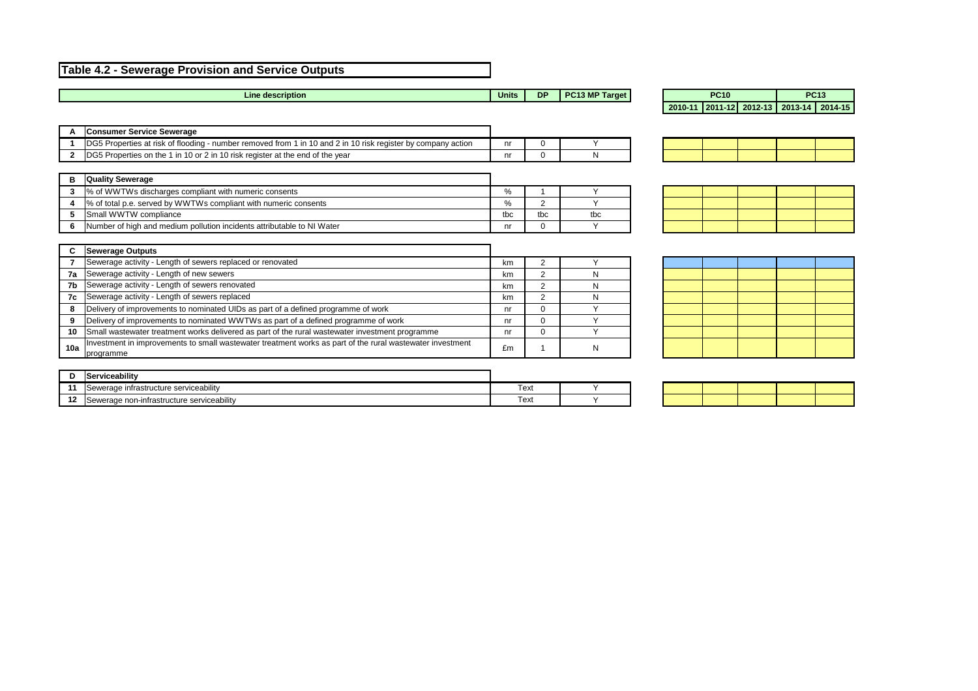## **Table 4.2 - Sewerage Provision and Service Outputs**

| A   | <b>Consumer Service Sewerage</b>                                                                                       |     |                |           |  |  |
|-----|------------------------------------------------------------------------------------------------------------------------|-----|----------------|-----------|--|--|
|     | DG5 Properties at risk of flooding - number removed from 1 in 10 and 2 in 10 risk register by company action           | nr  | 0              |           |  |  |
| 2   | DG5 Properties on the 1 in 10 or 2 in 10 risk register at the end of the year                                          | nr  | 0              | N         |  |  |
| В   | <b>Quality Sewerage</b>                                                                                                |     |                |           |  |  |
| 3   | % of WWTWs discharges compliant with numeric consents                                                                  | %   |                |           |  |  |
| 4   | % of total p.e. served by WWTWs compliant with numeric consents                                                        | %   | 2              |           |  |  |
| 5   | Small WWTW compliance                                                                                                  | tbc | tbc            | tbc       |  |  |
| 6   | Number of high and medium pollution incidents attributable to NI Water                                                 | nr  | 0              |           |  |  |
|     | <b>Sewerage Outputs</b>                                                                                                |     |                |           |  |  |
|     |                                                                                                                        |     |                |           |  |  |
|     | Sewerage activity - Length of sewers replaced or renovated                                                             | km  | 2              |           |  |  |
| 7a  | Sewerage activity - Length of new sewers                                                                               | km  | $\overline{2}$ | N         |  |  |
| 7b  | Sewerage activity - Length of sewers renovated                                                                         | km  | $\overline{2}$ | N         |  |  |
| 7c  | Sewerage activity - Length of sewers replaced                                                                          | km  | $\overline{2}$ | N         |  |  |
| 8   | Delivery of improvements to nominated UIDs as part of a defined programme of work                                      | nr  | 0              | $\sqrt{}$ |  |  |
| 9   | Delivery of improvements to nominated WWTWs as part of a defined programme of work                                     | nr  | 0              |           |  |  |
| 10  | Small wastewater treatment works delivered as part of the rural wastewater investment programme                        | nr  | $\Omega$       |           |  |  |
| 10a | Investment in improvements to small wastewater treatment works as part of the rural wastewater investment<br>programme | £m  |                | N         |  |  |
|     |                                                                                                                        |     |                |           |  |  |
| D   | Serviceability                                                                                                         |     |                |           |  |  |

| <b>PC10</b> |  |  | <b>PC13</b> |                                         |  |  |
|-------------|--|--|-------------|-----------------------------------------|--|--|
|             |  |  |             | 2010-11 2011-12 2012-13 2013-14 2014-15 |  |  |

| Line description | <b>Units</b> | <b>DP</b> | PC13 MP Target |  |
|------------------|--------------|-----------|----------------|--|
|------------------|--------------|-----------|----------------|--|

|  | o and the contract of the con- |  |
|--|--------------------------------|--|
|  |                                |  |
|  |                                |  |

|                  | iserviceability                                                            |      |  |
|------------------|----------------------------------------------------------------------------|------|--|
| - -              | .<br>serviceability<br>$\sim$ no $\sim$<br><b>infrastructure</b><br>ינים ה | Text |  |
| <u>ап</u><br>. . | , serviceabilitv<br>-infrastructure<br>nnn<br>veraut                       | Text |  |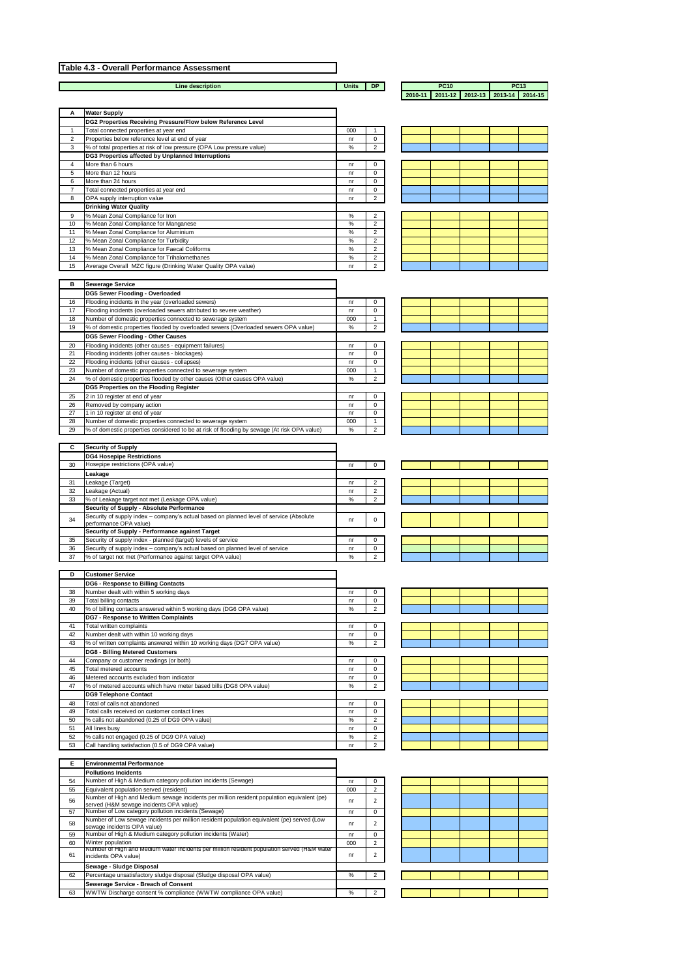## **Table 4.3 - Overall Performance Assessment**

**Line description** 

**Units DP**

|                                   | and the control of the control of | and the state of the state of                                                                                       | <u> 1989 - Johann Barnett, fransk politiker (</u>                                                                                                                                                                                                                         |     |
|-----------------------------------|-----------------------------------|---------------------------------------------------------------------------------------------------------------------|---------------------------------------------------------------------------------------------------------------------------------------------------------------------------------------------------------------------------------------------------------------------------|-----|
|                                   |                                   |                                                                                                                     |                                                                                                                                                                                                                                                                           |     |
| _______                           |                                   | <u> La Carlo de Carlo de Carlo de Carlo de Carlo de Carlo de Carlo de Carlo de Carlo de Carlo de Carlo de Carlo</u> | and the control of the control of<br><u> The Common Section of the Common Section of the Common Section of the Common Section of the Common Section of the Common Section of the Common Section of the Common Section of the Common Section of the Common Section of </u> | ___ |
|                                   |                                   | the contract of the contract of the contract of the contract of the contract of the contract of the contract of     |                                                                                                                                                                                                                                                                           |     |
| and the control of the control of |                                   |                                                                                                                     | <u> The Communication of the Communication of the Communication of the Communication of the Communication of the Communication of the Communication of the Communication of the Communication of the Communication of the Commun</u>                                      |     |
|                                   |                                   |                                                                                                                     |                                                                                                                                                                                                                                                                           |     |
|                                   |                                   |                                                                                                                     | __                                                                                                                                                                                                                                                                        |     |

| <b>PC10</b> |                                         |  | <b>PC13</b> |  |
|-------------|-----------------------------------------|--|-------------|--|
|             | 2010-11 2011-12 2012-13 2013-14 2014-15 |  |             |  |

| A               | <b>Water Supply</b>                                                    |      |                |
|-----------------|------------------------------------------------------------------------|------|----------------|
|                 | DG2 Properties Receiving Pressure/Flow below Reference Level           |      |                |
| 1               | Total connected properties at year end                                 | 000  |                |
| 2               | Properties below reference level at end of year                        | nr   | 0              |
| 3               | % of total properties at risk of low pressure (OPA Low pressure value) | %    | $\overline{2}$ |
|                 | DG3 Properties affected by Unplanned Interruptions                     |      |                |
| 4               | More than 6 hours                                                      | nr   | $\mathbf 0$    |
| 5               | More than 12 hours                                                     | nr   | 0              |
| 6               | More than 24 hours                                                     | nr   | 0              |
| 7               | Total connected properties at year end                                 | nr   | 0              |
| 8               | OPA supply interruption value                                          | nr   | $\overline{2}$ |
|                 | <b>Drinking Water Quality</b>                                          |      |                |
| 9               | % Mean Zonal Compliance for Iron                                       | %    | $\overline{2}$ |
| 10              | % Mean Zonal Compliance for Manganese                                  | $\%$ | $\overline{2}$ |
| 11              | % Mean Zonal Compliance for Aluminium                                  | $\%$ | $\overline{2}$ |
| 12 <sup>2</sup> | % Mean Zonal Compliance for Turbidity                                  | $\%$ | 2              |
| 13              | % Mean Zonal Compliance for Faecal Coliforms                           | $\%$ | 2              |
| 14              | % Mean Zonal Compliance for Trihalomethanes                            | $\%$ | $\overline{2}$ |
| 15              | Average Overall MZC figure (Drinking Water Quality OPA value)          | nr   | $\overline{2}$ |

| B  | <b>Sewerage Service</b>                                                                     |      |                |
|----|---------------------------------------------------------------------------------------------|------|----------------|
|    | <b>DG5 Sewer Flooding - Overloaded</b>                                                      |      |                |
| 16 | Flooding incidents in the year (overloaded sewers)                                          | nr   | 0              |
| 17 | Flooding incidents (overloaded sewers attributed to severe weather)                         | nr   | 0              |
| 18 | Number of domestic properties connected to sewerage system                                  | 000  |                |
| 19 | % of domestic properties flooded by overloaded sewers (Overloaded sewers OPA value)         | %    | $\overline{2}$ |
|    | <b>DG5 Sewer Flooding - Other Causes</b>                                                    |      |                |
| 20 | Flooding incidents (other causes - equipment failures)                                      | nr   | $\Omega$       |
| 21 | Flooding incidents (other causes - blockages)                                               | nr   | 0              |
| 22 | Flooding incidents (other causes - collapses)                                               | nr   | 0              |
| 23 | Number of domestic properties connected to sewerage system                                  | 000  |                |
| 24 | % of domestic properties flooded by other causes (Other causes OPA value)                   | $\%$ | 2              |
|    | DG5 Properties on the Flooding Register                                                     |      |                |
| 25 | 2 in 10 register at end of year                                                             | nr   | $\Omega$       |
| 26 | Removed by company action                                                                   | nr   | 0              |
| 27 | 1 in 10 register at end of year                                                             | nr   | 0              |
| 28 | Number of domestic properties connected to sewerage system                                  | 000  | 1              |
| 29 | % of domestic properties considered to be at risk of flooding by sewage (At risk OPA value) | $\%$ | 2              |

| C. | <b>Security of Supply</b>                                                                                         |    |                |
|----|-------------------------------------------------------------------------------------------------------------------|----|----------------|
|    | <b>DG4 Hosepipe Restrictions</b>                                                                                  |    |                |
| 30 | Hosepipe restrictions (OPA value)                                                                                 | nr | 0              |
|    | Leakage                                                                                                           |    |                |
| 31 | Leakage (Target)                                                                                                  | nr | 2              |
| 32 | Leakage (Actual)                                                                                                  | nr | $\overline{2}$ |
| 33 | % of Leakage target not met (Leakage OPA value)                                                                   | ℅  | $\overline{2}$ |
|    | <b>Security of Supply - Absolute Performance</b>                                                                  |    |                |
| 34 | Security of supply index - company's actual based on planned level of service (Absolute<br>performance OPA value) | nr | 0              |
|    | Security of Supply - Performance against Target                                                                   |    |                |
| 35 | Security of supply index - planned (target) levels of service                                                     | nr | 0              |
| 36 | Security of supply index – company's actual based on planned level of service                                     | nr | 0              |
| 37 | % of target not met (Performance against target OPA value)                                                        | %  | 2              |

| <b>Contract Contract Contract Contract Contract Contract Contract Contract Contract Contract Contract Contract Co</b><br><b>Service Service</b> | <b>Contract Contract Contract Contract Contract Contract Contract Contract Contract Contract Contract Contract Co</b><br><b>STATE OF STATE OF STATE OF STATE OF STATE OF STATE OF STATE OF STATE OF STATE OF STATE OF STATE OF STATE OF S</b> |  |  |
|-------------------------------------------------------------------------------------------------------------------------------------------------|-----------------------------------------------------------------------------------------------------------------------------------------------------------------------------------------------------------------------------------------------|--|--|
|                                                                                                                                                 |                                                                                                                                                                                                                                               |  |  |
|                                                                                                                                                 |                                                                                                                                                                                                                                               |  |  |
|                                                                                                                                                 |                                                                                                                                                                                                                                               |  |  |
|                                                                                                                                                 |                                                                                                                                                                                                                                               |  |  |
|                                                                                                                                                 |                                                                                                                                                                                                                                               |  |  |
|                                                                                                                                                 |                                                                                                                                                                                                                                               |  |  |
|                                                                                                                                                 |                                                                                                                                                                                                                                               |  |  |

| D  | <b>Customer Service</b>                                                 |      |                |
|----|-------------------------------------------------------------------------|------|----------------|
|    | <b>DG6 - Response to Billing Contacts</b>                               |      |                |
| 38 | Number dealt with within 5 working days                                 | nr   | 0              |
| 39 | Total billing contacts                                                  | nr   | 0              |
| 40 | % of billing contacts answered within 5 working days (DG6 OPA value)    | $\%$ | $\overline{2}$ |
|    | <b>DG7 - Response to Written Complaints</b>                             |      |                |
| 41 | Total written complaints                                                | nr   | $\Omega$       |
| 42 | Number dealt with within 10 working days                                | nr   | $\Omega$       |
| 43 | % of written complaints answered within 10 working days (DG7 OPA value) | $\%$ | $\overline{2}$ |
|    | <b>DG8 - Billing Metered Customers</b>                                  |      |                |
| 44 | Company or customer readings (or both)                                  | nr   | $\Omega$       |
| 45 | Total metered accounts                                                  | nr   | 0              |
| 46 | Metered accounts excluded from indicator                                | nr   | $\Omega$       |
| 47 | % of metered accounts which have meter based bills (DG8 OPA value)      | $\%$ | $\overline{2}$ |
|    | <b>DG9 Telephone Contact</b>                                            |      |                |
| 48 | Total of calls not abandoned                                            | nr   | $\Omega$       |
| 49 | Total calls received on customer contact lines                          | nr   | 0              |
| 50 | % calls not abandoned (0.25 of DG9 OPA value)                           | %    | $\overline{2}$ |
| 51 | All lines busy                                                          | nr   | $\Omega$       |
| 52 | % calls not engaged (0.25 of DG9 OPA value)                             | $\%$ | 2              |
| 53 | Call handling satisfaction (0.5 of DG9 OPA value)                       | nr   | 2              |

| $\mathcal{L}^{\text{max}}_{\text{max}}$ and $\mathcal{L}^{\text{max}}_{\text{max}}$ and $\mathcal{L}^{\text{max}}_{\text{max}}$<br>٠ | the control of the control of the control of the control of the control of the control of the control of the control of the control of the control of the control of the control of the control of the control of the control | and the state of the state of the state of the state of the state of the state of the state of the state of th | <b>STATE OF STATE AND STATE</b><br>$\mathcal{L}^{\text{max}}_{\text{max}}$ and $\mathcal{L}^{\text{max}}_{\text{max}}$ and $\mathcal{L}^{\text{max}}_{\text{max}}$ |  |
|--------------------------------------------------------------------------------------------------------------------------------------|-------------------------------------------------------------------------------------------------------------------------------------------------------------------------------------------------------------------------------|----------------------------------------------------------------------------------------------------------------|--------------------------------------------------------------------------------------------------------------------------------------------------------------------|--|
|                                                                                                                                      |                                                                                                                                                                                                                               |                                                                                                                |                                                                                                                                                                    |  |

| Е  | <b>Environmental Performance</b>                                                                                                      |      |                |
|----|---------------------------------------------------------------------------------------------------------------------------------------|------|----------------|
|    | <b>Pollutions Incidents</b>                                                                                                           |      |                |
| 54 | Number of High & Medium category pollution incidents (Sewage)                                                                         | nr   | $\Omega$       |
| 55 | Equivalent population served (resident)                                                                                               | 000  | 2              |
| 56 | Number of High and Medium sewage incidents per million resident population equivalent (pe)<br>served (H&M sewage incidents OPA value) | nr   | $\overline{2}$ |
| 57 | Number of Low category pollution incidents (Sewage)                                                                                   | nr   | 0              |
| 58 | Number of Low sewage incidents per million resident population equivalent (pe) served (Low<br>sewage incidents OPA value)             | nr   | $\overline{2}$ |
| 59 | Number of High & Medium category pollution incidents (Water)                                                                          | nr   | $\Omega$       |
| 60 | Winter population                                                                                                                     | 000  | 2              |
| 61 | Number of High and Medium water incidents per million resident population served (H&M water<br>incidents OPA value)                   | nr   | 2              |
|    | Sewage - Sludge Disposal                                                                                                              |      |                |
| 62 | Percentage unsatisfactory sludge disposal (Sludge disposal OPA value)                                                                 | $\%$ | $\overline{2}$ |
|    | <b>Sewerage Service - Breach of Consent</b>                                                                                           |      |                |
| 63 | WWTW Discharge consent % compliance (WWTW compliance OPA value)                                                                       | $\%$ | 2              |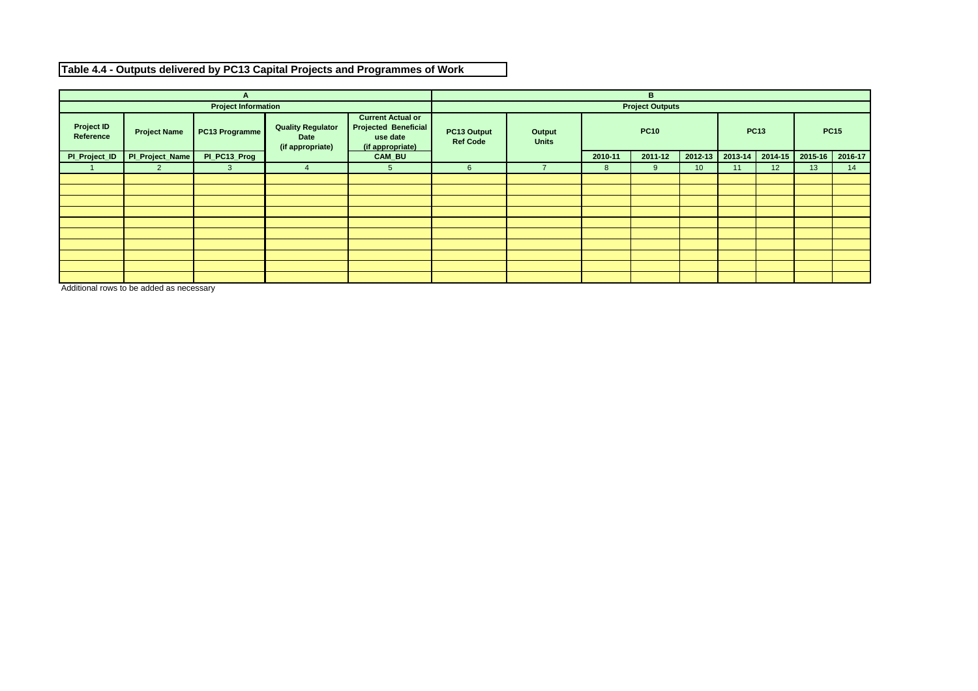| A                              |                     |                            |                                                             |                                                                                         |                                                                 |         | B              |                        |                 |             |                 |             |    |
|--------------------------------|---------------------|----------------------------|-------------------------------------------------------------|-----------------------------------------------------------------------------------------|-----------------------------------------------------------------|---------|----------------|------------------------|-----------------|-------------|-----------------|-------------|----|
|                                |                     | <b>Project Information</b> |                                                             |                                                                                         |                                                                 |         |                | <b>Project Outputs</b> |                 |             |                 |             |    |
| <b>Project ID</b><br>Reference | <b>Project Name</b> | PC13 Programme             | <b>Quality Regulator</b><br><b>Date</b><br>(if appropriate) | <b>Current Actual or</b><br><b>Projected Beneficial</b><br>use date<br>(if appropriate) | PC13 Output<br><b>Output</b><br><b>Units</b><br><b>Ref Code</b> |         | <b>PC10</b>    |                        |                 | <b>PC13</b> |                 | <b>PC15</b> |    |
| PI_Project_ID                  | PI_Project_Name     | PI_PC13_Prog               |                                                             | <b>CAM_BU</b>                                                                           |                                                                 | 2010-11 | 2011-12        | 2012-13                | 2013-14         | $2014 - 15$ | 2015-16         | 2016-17     |    |
|                                | $\mathbf{2}$        | $\mathbf{3}$               | 4                                                           | 5 <sup>5</sup>                                                                          | 6 <sup>1</sup>                                                  |         | 8 <sup>8</sup> | 9                      | 10 <sup>°</sup> | 11          | 12 <sup>°</sup> | 13          | 14 |
|                                |                     |                            |                                                             |                                                                                         |                                                                 |         |                |                        |                 |             |                 |             |    |
|                                |                     |                            |                                                             |                                                                                         |                                                                 |         |                |                        |                 |             |                 |             |    |
|                                |                     |                            |                                                             |                                                                                         |                                                                 |         |                |                        |                 |             |                 |             |    |
|                                |                     |                            |                                                             |                                                                                         |                                                                 |         |                |                        |                 |             |                 |             |    |
|                                |                     |                            |                                                             |                                                                                         |                                                                 |         |                |                        |                 |             |                 |             |    |
|                                |                     |                            |                                                             |                                                                                         |                                                                 |         |                |                        |                 |             |                 |             |    |
|                                |                     |                            |                                                             |                                                                                         |                                                                 |         |                |                        |                 |             |                 |             |    |
|                                |                     |                            |                                                             |                                                                                         |                                                                 |         |                |                        |                 |             |                 |             |    |
|                                |                     |                            |                                                             |                                                                                         |                                                                 |         |                |                        |                 |             |                 |             |    |
|                                |                     |                            |                                                             |                                                                                         |                                                                 |         |                |                        |                 |             |                 |             |    |

Additional rows to be added as necessary

## **Table 4.4 - Outputs delivered by PC13 Capital Projects and Programmes of Work**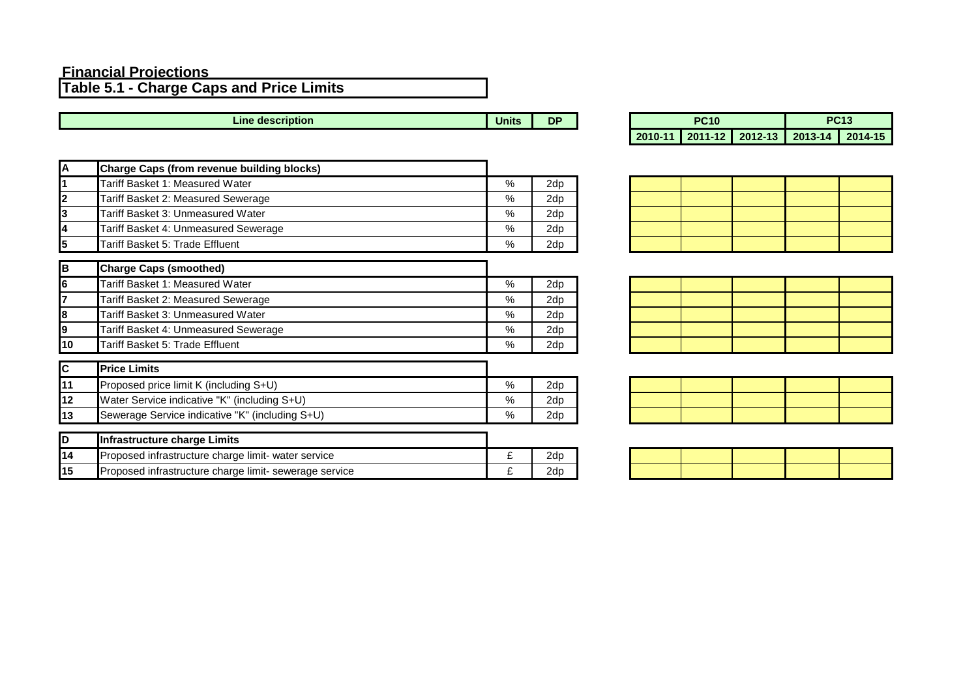#### **Financial Projections**

**Table 5.1 - Charge Caps and Price Limits**

**Units** DP **Line description** 

| $\overline{\mathbf{A}}$ | <b>Charge Caps (from revenue building blocks)</b>      |      |     |
|-------------------------|--------------------------------------------------------|------|-----|
| 1                       | Tariff Basket 1: Measured Water                        | $\%$ | 2dp |
| $\mathbf 2$             | Tariff Basket 2: Measured Sewerage                     | $\%$ | 2dp |
| 3                       | Tariff Basket 3: Unmeasured Water                      | $\%$ | 2dp |
| $\overline{\mathbf{4}}$ | Tariff Basket 4: Unmeasured Sewerage                   | %    | 2dp |
| 5                       | Tariff Basket 5: Trade Effluent                        | %    | 2dp |
|                         |                                                        |      |     |
| $\, {\bf B}$            | <b>Charge Caps (smoothed)</b>                          |      |     |
| $\overline{\mathbf{6}}$ | Tariff Basket 1: Measured Water                        | $\%$ | 2dp |
| 7                       | Tariff Basket 2: Measured Sewerage                     | $\%$ | 2dp |
| 8                       | Tariff Basket 3: Unmeasured Water                      | %    | 2dp |
| $\mathbf{9}$            | Tariff Basket 4: Unmeasured Sewerage                   | %    | 2dp |
| 10                      | Tariff Basket 5: Trade Effluent                        | %    | 2dp |
| $\overline{c}$          | <b>Price Limits</b>                                    |      |     |
| 11                      | Proposed price limit K (including S+U)                 | %    | 2dp |
| 12                      | Water Service indicative "K" (including S+U)           | %    | 2dp |
| 13                      | Sewerage Service indicative "K" (including S+U)        | %    | 2dp |
|                         |                                                        |      |     |
| D                       | <b>Infrastructure charge Limits</b>                    |      |     |
| 14                      | Proposed infrastructure charge limit- water service    | £    | 2dp |
| 15                      | Proposed infrastructure charge limit- sewerage service | £    | 2dp |

| <b>PC10</b> |  |  |                                         | <b>PC13</b> |
|-------------|--|--|-----------------------------------------|-------------|
|             |  |  | 2010-11 2011-12 2012-13 2013-14 2014-15 |             |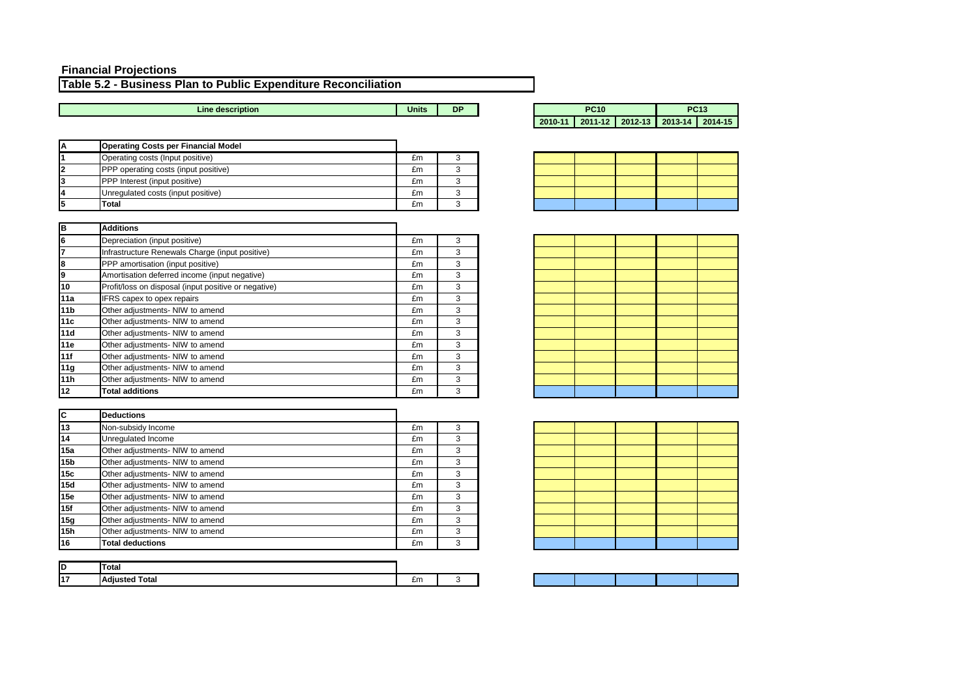| <b>Operating Costs per Financial Model</b>  |    |  |
|---------------------------------------------|----|--|
| Operating costs (Input positive)            | £m |  |
| <b>PPP</b> operating costs (input positive) | £m |  |
| <b>PPP</b> Interest (input positive)        | £m |  |
| Unregulated costs (input positive)          | £m |  |
| <b>Total</b>                                | £m |  |

| lв              | <b>Additions</b>                                     |    |   |
|-----------------|------------------------------------------------------|----|---|
| 6               | Depreciation (input positive)                        | £m | 3 |
| $\overline{7}$  | Infrastructure Renewals Charge (input positive)      | £m | 3 |
| 8               | PPP amortisation (input positive)                    | £m | 3 |
| ଚ<br>ଚ          | Amortisation deferred income (input negative)        | £m | 3 |
| 10              | Profit/loss on disposal (input positive or negative) | £m | 3 |
| 11a             | IFRS capex to opex repairs                           | £m | 3 |
| 11 <sub>b</sub> | Other adjustments- NIW to amend                      | £m | 3 |
| 11c             | Other adjustments- NIW to amend                      | £m | 3 |
| 11d             | Other adjustments- NIW to amend                      | £m | 3 |
| 11e             | Other adjustments- NIW to amend                      | £m | 3 |
| 11f             | Other adjustments- NIW to amend                      | £m | 3 |
| 11g             | Other adjustments- NIW to amend                      | £m | 3 |
| 11h             | Other adjustments- NIW to amend                      | £m | 3 |
| 12              | <b>Total additions</b>                               | £m | 3 |

|                          | £m                        |   |
|--------------------------|---------------------------|---|
| arge (input positive)    | £m                        |   |
| sitive)                  | £m                        |   |
| ne (input negative)      | £m                        |   |
| at positive or negative) | £m                        |   |
|                          | £m                        |   |
| amend                    | £m                        |   |
| amend                    | £m                        |   |
| amond                    | $\mathbf{c}_{\mathbf{m}}$ | ົ |













| C               | <b>Deductions</b>               |    |   |
|-----------------|---------------------------------|----|---|
| 13              | Non-subsidy Income              | £m | 3 |
| 14              | Unregulated Income              | £m | 3 |
| 15a             | Other adjustments- NIW to amend | £m | 3 |
| 15 <sub>b</sub> | Other adjustments- NIW to amend | £m | 3 |
| 15c             | Other adjustments- NIW to amend | £m | 3 |
| 15d             | Other adjustments- NIW to amend | £m | 3 |
| 15e             | Other adjustments- NIW to amend | £m | 3 |
| 15f             | Other adjustments- NIW to amend | £m | 3 |
| 15g             | Other adjustments- NIW to amend | £m | 3 |
| 15 <sub>h</sub> | Other adjustments- NIW to amend | £m | 3 |
| 16              | <b>Total deductions</b>         | £m | 3 |

| ID | <b>Total</b>                           |        |  |
|----|----------------------------------------|--------|--|
| 17 | -415<br><b>Ijusted Total</b><br>$\sim$ | $\sim$ |  |

#### **Financial Projections**

#### **Table 5.2 - Business Plan to Public Expenditure Reconciliation**

|--|

**Units DP PC10 2010-11 2011-12 2012-13 2013-14 2014-15 Line description PC13**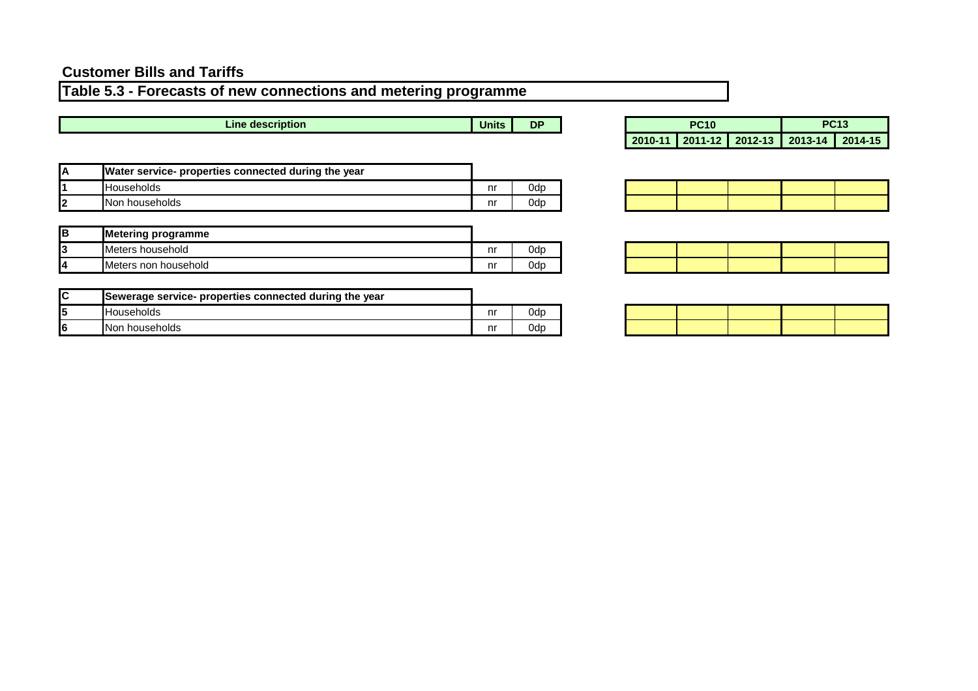**Table 5.3 - Forecasts of new connections and metering programme** 

**Line description** 

**Units DP** 

| <b>PC10</b> |  | <b>PC13</b>                             |  |  |
|-------------|--|-----------------------------------------|--|--|
|             |  | 2010-11 2011-12 2012-13 2013-14 2014-15 |  |  |

| А       | Water service- properties connected during the year |    |     |
|---------|-----------------------------------------------------|----|-----|
|         | 'Households                                         | nr | 0dp |
| Ω.<br>L | INon households                                     | nr | 0dc |

| lв | <b>Metering programme</b> |    |     |
|----|---------------------------|----|-----|
| 13 | Meters household          | nr | Dd. |
| 14 | IMeters non household     | nr | odr |

| lC | Sewerage service- properties connected during the year |    |  |
|----|--------------------------------------------------------|----|--|
| I5 | IHouseholds                                            | nı |  |
| l6 | INon households                                        | nı |  |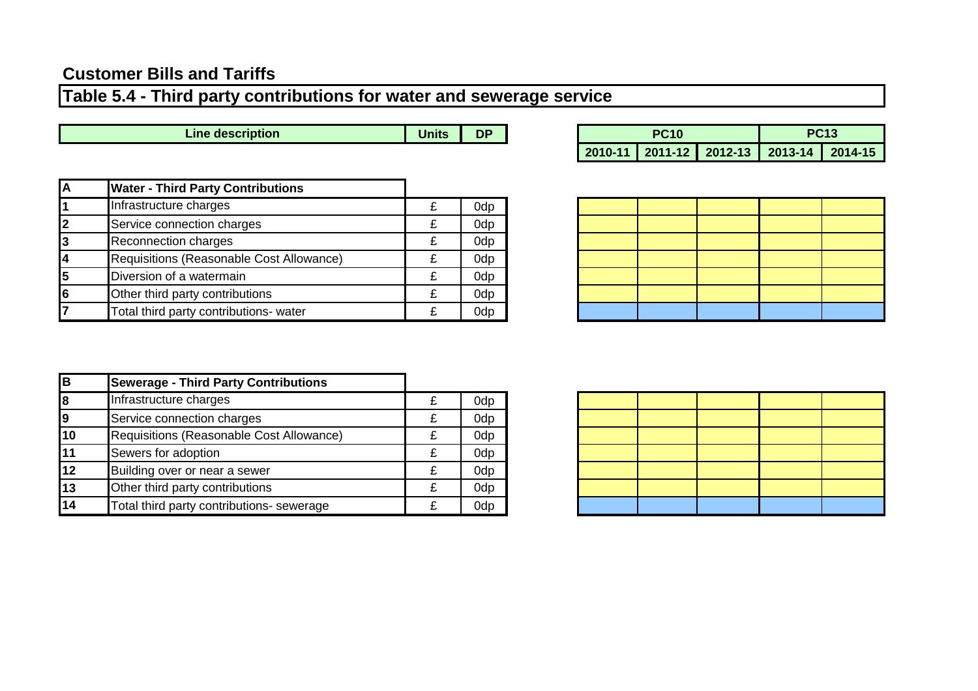## **Table 5.4 - Third party contributions for water and sewerage service**

**Units DP Line description** 

| <b>PC10</b> |  |  | <b>PC13</b>                             |  |  |
|-------------|--|--|-----------------------------------------|--|--|
|             |  |  | 2010-11 2011-12 2012-13 2013-14 2014-15 |  |  |

|    | <b>Water - Third Party Contributions</b> |   |     |
|----|------------------------------------------|---|-----|
|    | Infrastructure charges                   | £ | 0dp |
|    | Service connection charges               | £ | 0dp |
| 3  | <b>Reconnection charges</b>              | £ | 0dp |
|    | Requisitions (Reasonable Cost Allowance) | £ | 0dp |
| 15 | Diversion of a watermain                 | £ | 0dp |
| 6  | Other third party contributions          | £ | 0dp |
|    | Total third party contributions- water   |   | 0dp |

| -  | <u> 1989 - John Stone, Amerikaansk politiker (* 1989)</u><br>- - |  |  |
|----|------------------------------------------------------------------|--|--|
|    |                                                                  |  |  |
| f, |                                                                  |  |  |
|    |                                                                  |  |  |
|    |                                                                  |  |  |

| lв                                   | <b>Sewerage - Third Party Contributions</b> |   |     |
|--------------------------------------|---------------------------------------------|---|-----|
| $\overline{\overline{\overline{8}}}$ | Infrastructure charges                      | £ | 0dp |
|                                      | Service connection charges                  |   | 0dp |
| 10                                   | Requisitions (Reasonable Cost Allowance)    |   | 0dp |
| $\overline{11}$                      | Sewers for adoption                         |   | 0dp |
| 12                                   | Building over or near a sewer               |   | 0dp |
| $\overline{13}$                      | Other third party contributions             | £ | 0dp |
| $\overline{14}$                      | Total third party contributions- sewerage   |   | 0dp |

| $\sim$                            | <u> 1989 - 1989 - 1989 - 1989 - 1989 - 1989 - 1989 - 1989 - 1989 - 1989 - 1989 - 1989 - 1989 - 1989 - 1989 - 19</u> | <b>STATISTICS</b>     |  |
|-----------------------------------|---------------------------------------------------------------------------------------------------------------------|-----------------------|--|
|                                   |                                                                                                                     |                       |  |
| _                                 | the contract of the contract of the contract of                                                                     |                       |  |
| <b>Contract Contract Contract</b> | and the control of the control of                                                                                   | <u> Linda a San A</u> |  |
|                                   |                                                                                                                     |                       |  |
|                                   |                                                                                                                     |                       |  |
|                                   |                                                                                                                     |                       |  |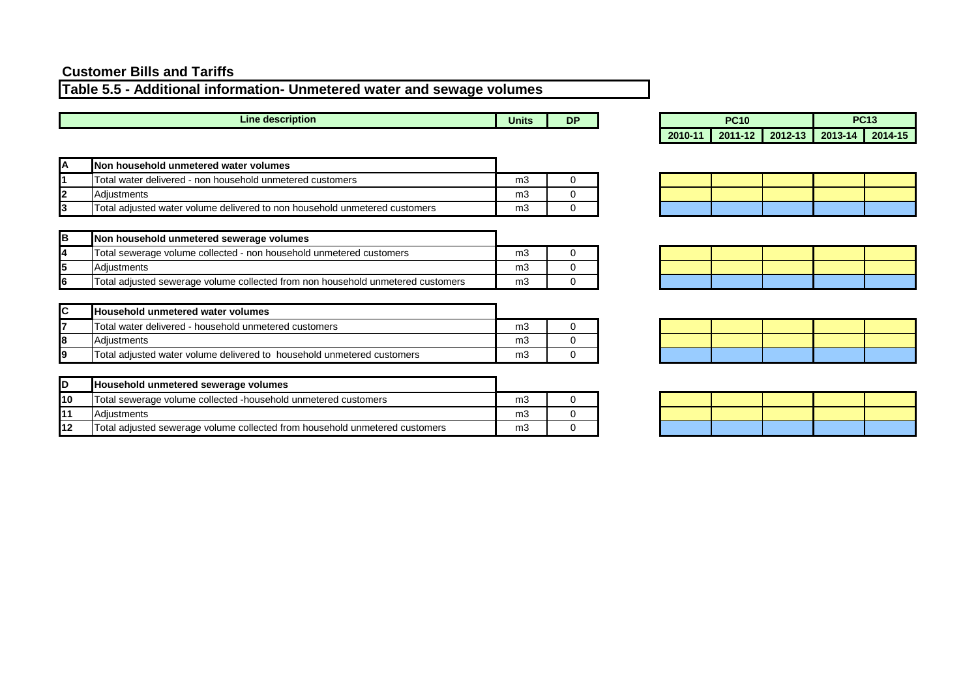## **Table 5.5 - Additional information- Unmetered water and sewage volumes**

| <b>Line</b><br>description • | <b>Units</b> | <b>DF</b> | DC <sub>40</sub><br>'C10 |  | $\sim$ $\sim$ $\sim$ | v R |  |
|------------------------------|--------------|-----------|--------------------------|--|----------------------|-----|--|
|                              |              |           |                          |  |                      |     |  |

| Units | DP | <b>PC10</b> |  | <b>PC13</b> |                                       |  |
|-------|----|-------------|--|-------------|---------------------------------------|--|
|       |    | 2010-11     |  |             | 2011-12   2012-13   2013-14   2014-15 |  |

| <b>Non household unmetered water volumes</b>                               |    |  |
|----------------------------------------------------------------------------|----|--|
| Total water delivered - non household unmetered customers                  | mЗ |  |
| <b>Adiustments</b>                                                         | mЗ |  |
| Total adjusted water volume delivered to non household unmetered customers | m3 |  |

| в | Non household unmetered sewerage volumes                                        |    |  |
|---|---------------------------------------------------------------------------------|----|--|
| 4 | Total sewerage volume collected - non household unmetered customers             | mЗ |  |
|   | <b>Adiustments</b>                                                              | mЗ |  |
|   | Total adjusted sewerage volume collected from non household unmetered customers | mЗ |  |

| <b>IC</b> | <b>Household unmetered water volumes</b>                               |    |  |
|-----------|------------------------------------------------------------------------|----|--|
|           | Total water delivered - household unmetered customers                  | mЗ |  |
| l8        | <b>IAdiustments</b>                                                    | mЗ |  |
| 19        | Total adjusted water volume delivered to household unmetered customers | mЗ |  |

|     | Household unmetered sewerage volumes                                        |    |  |
|-----|-----------------------------------------------------------------------------|----|--|
| l10 | Total sewerage volume collected -household unmetered customers              | mЗ |  |
|     | <b>Adiustments</b>                                                          | mЗ |  |
| l12 | Total adjusted sewerage volume collected from household unmetered customers | mЗ |  |

|  | $\mathcal{L}^{\text{max}}_{\text{max}}$ and $\mathcal{L}^{\text{max}}_{\text{max}}$ and $\mathcal{L}^{\text{max}}_{\text{max}}$ and $\mathcal{L}^{\text{max}}_{\text{max}}$ |  |
|--|-----------------------------------------------------------------------------------------------------------------------------------------------------------------------------|--|
|  |                                                                                                                                                                             |  |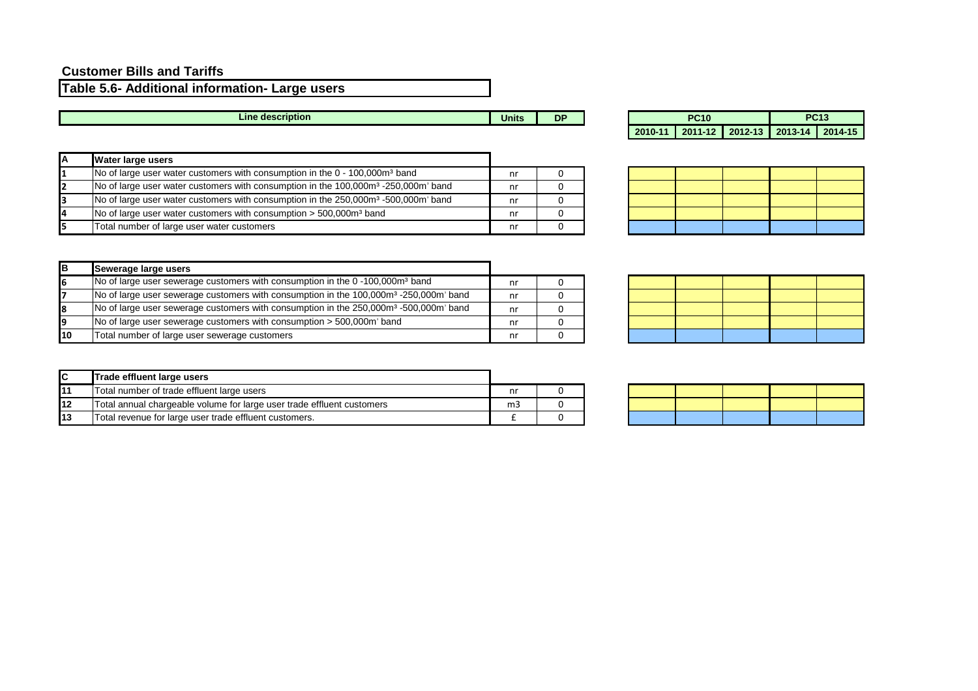**Table 5.6- Additional information- Large users**

| description :<br>∠ine <sup>-</sup> |       | DF  | DOAD | --<br>.<br>$\mathbf{r}$ |
|------------------------------------|-------|-----|------|-------------------------|
|                                    | Units | . . | ပျေ  | UR                      |
|                                    |       |     |      |                         |

| <b>Water large users</b>                                                                                   |    |  |
|------------------------------------------------------------------------------------------------------------|----|--|
| No of large user water customers with consumption in the 0 - 100,000m <sup>3</sup> band                    | nr |  |
| No of large user water customers with consumption in the 100,000m <sup>3</sup> -250,000m <sup>3</sup> band | nr |  |
| No of large user water customers with consumption in the 250,000m <sup>3</sup> -500,000m <sup>3</sup> band | nr |  |
| No of large user water customers with consumption $>$ 500,000 $m3$ band                                    | nr |  |
| Total number of large user water customers                                                                 | nr |  |

| lв | Sewerage large users                                                                                          |    |  |
|----|---------------------------------------------------------------------------------------------------------------|----|--|
| 6  | No of large user sewerage customers with consumption in the 0-100,000m <sup>3</sup> band                      | nr |  |
|    | No of large user sewerage customers with consumption in the 100,000m <sup>3</sup> -250,000m <sup>3</sup> band | nr |  |
|    | No of large user sewerage customers with consumption in the 250,000m <sup>3</sup> -500,000m <sup>3</sup> band | nr |  |
| 19 | No of large user sewerage customers with consumption > 500,000m <sup>3</sup> band                             | nr |  |
| 10 | Total number of large user sewerage customers                                                                 |    |  |

| PC:10 |  | РСЗВ                                    |  |  |
|-------|--|-----------------------------------------|--|--|
|       |  | 2010-11 2011-12 2012-13 2013-14 2014-15 |  |  |

|          | <b>Contract Contract</b><br>$\sim$ |                          |  |
|----------|------------------------------------|--------------------------|--|
| ►        |                                    | the contract of the con- |  |
| <b>I</b> |                                    |                          |  |
|          |                                    |                          |  |

| <b>IC</b> | Trade effluent large users                                             |                |  |
|-----------|------------------------------------------------------------------------|----------------|--|
| 111       | Total number of trade effluent large users                             | nr             |  |
| 112       | Total annual chargeable volume for large user trade effluent customers | m <sub>3</sub> |  |
| 13        | Total revenue for large user trade effluent customers.                 |                |  |